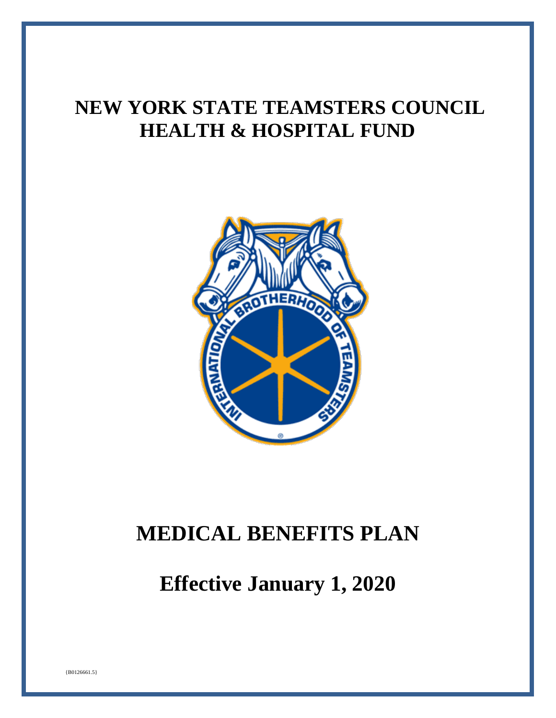# **NEW YORK STATE TEAMSTERS COUNCIL HEALTH & HOSPITAL FUND**



# **MEDICAL BENEFITS PLAN**

**Effective January 1, 2020**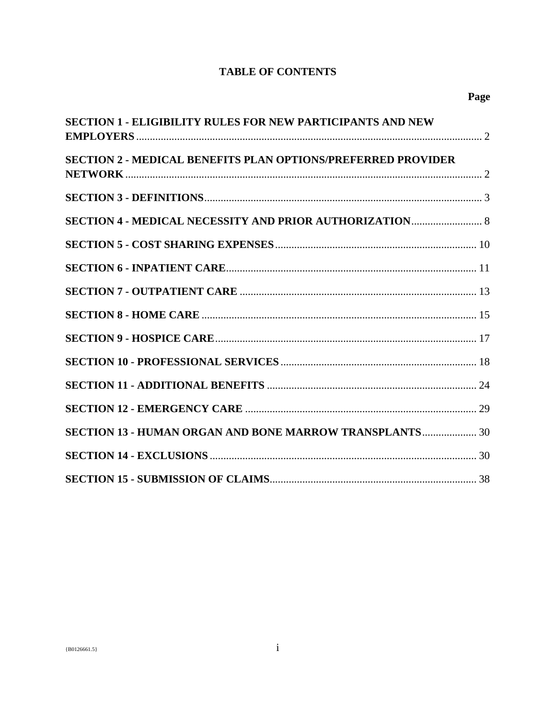# **TABLE OF CONTENTS**

| SECTION 1 - ELIGIBILITY RULES FOR NEW PARTICIPANTS AND NEW          |  |
|---------------------------------------------------------------------|--|
| <b>SECTION 2 - MEDICAL BENEFITS PLAN OPTIONS/PREFERRED PROVIDER</b> |  |
|                                                                     |  |
|                                                                     |  |
|                                                                     |  |
|                                                                     |  |
|                                                                     |  |
|                                                                     |  |
|                                                                     |  |
|                                                                     |  |
|                                                                     |  |
|                                                                     |  |
| SECTION 13 - HUMAN ORGAN AND BONE MARROW TRANSPLANTS 30             |  |
|                                                                     |  |
|                                                                     |  |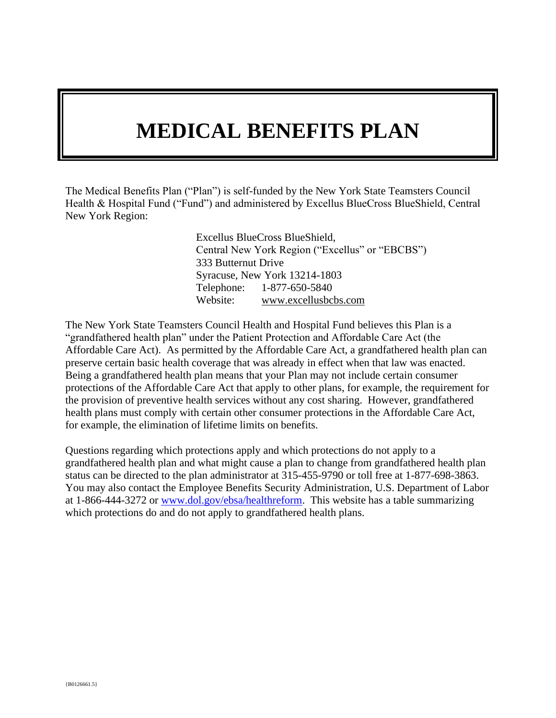# **MEDICAL BENEFITS PLAN**

The Medical Benefits Plan ("Plan") is self-funded by the New York State Teamsters Council Health & Hospital Fund ("Fund") and administered by Excellus BlueCross BlueShield, Central New York Region:

> Excellus BlueCross BlueShield, Central New York Region ("Excellus" or "EBCBS") 333 Butternut Drive Syracuse, New York 13214-1803 Telephone: 1-877-650-5840 Website: www.excellusbcbs.com

The New York State Teamsters Council Health and Hospital Fund believes this Plan is a "grandfathered health plan" under the Patient Protection and Affordable Care Act (the Affordable Care Act). As permitted by the Affordable Care Act, a grandfathered health plan can preserve certain basic health coverage that was already in effect when that law was enacted. Being a grandfathered health plan means that your Plan may not include certain consumer protections of the Affordable Care Act that apply to other plans, for example, the requirement for the provision of preventive health services without any cost sharing. However, grandfathered health plans must comply with certain other consumer protections in the Affordable Care Act, for example, the elimination of lifetime limits on benefits.

Questions regarding which protections apply and which protections do not apply to a grandfathered health plan and what might cause a plan to change from grandfathered health plan status can be directed to the plan administrator at 315-455-9790 or toll free at 1-877-698-3863. You may also contact the Employee Benefits Security Administration, U.S. Department of Labor at 1-866-444-3272 or [www.dol.gov/ebsa/healthreform.](file:///C:/Documents%20and%20Settings/baum.beth/Local%20Settings/Temporary%20Internet%20Files/OLK37/www.dol.gov/ebsa/healthreform) This website has a table summarizing which protections do and do not apply to grandfathered health plans.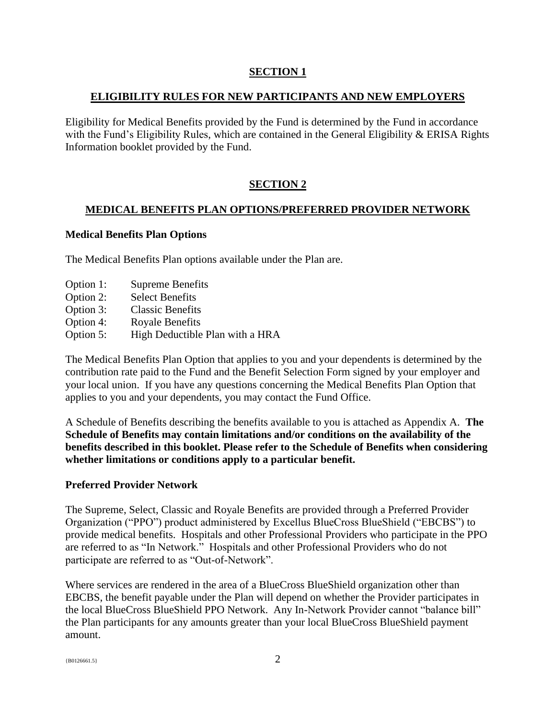## <span id="page-3-0"></span>**SECTION 1**

#### **ELIGIBILITY RULES FOR NEW PARTICIPANTS AND NEW EMPLOYERS**

Eligibility for Medical Benefits provided by the Fund is determined by the Fund in accordance with the Fund's Eligibility Rules, which are contained in the General Eligibility & ERISA Rights Information booklet provided by the Fund.

## <span id="page-3-1"></span>**SECTION 2**

#### **MEDICAL BENEFITS PLAN OPTIONS/PREFERRED PROVIDER NETWORK**

#### **Medical Benefits Plan Options**

The Medical Benefits Plan options available under the Plan are.

- Option 1: Supreme Benefits
- Option 2: Select Benefits
- Option 3: Classic Benefits
- Option 4: Royale Benefits
- Option 5: High Deductible Plan with a HRA

The Medical Benefits Plan Option that applies to you and your dependents is determined by the contribution rate paid to the Fund and the Benefit Selection Form signed by your employer and your local union. If you have any questions concerning the Medical Benefits Plan Option that applies to you and your dependents, you may contact the Fund Office.

A Schedule of Benefits describing the benefits available to you is attached as Appendix A. **The Schedule of Benefits may contain limitations and/or conditions on the availability of the benefits described in this booklet. Please refer to the Schedule of Benefits when considering whether limitations or conditions apply to a particular benefit.**

#### **Preferred Provider Network**

The Supreme, Select, Classic and Royale Benefits are provided through a Preferred Provider Organization ("PPO") product administered by Excellus BlueCross BlueShield ("EBCBS") to provide medical benefits. Hospitals and other Professional Providers who participate in the PPO are referred to as "In Network." Hospitals and other Professional Providers who do not participate are referred to as "Out-of-Network".

Where services are rendered in the area of a BlueCross BlueShield organization other than EBCBS, the benefit payable under the Plan will depend on whether the Provider participates in the local BlueCross BlueShield PPO Network. Any In-Network Provider cannot "balance bill" the Plan participants for any amounts greater than your local BlueCross BlueShield payment amount.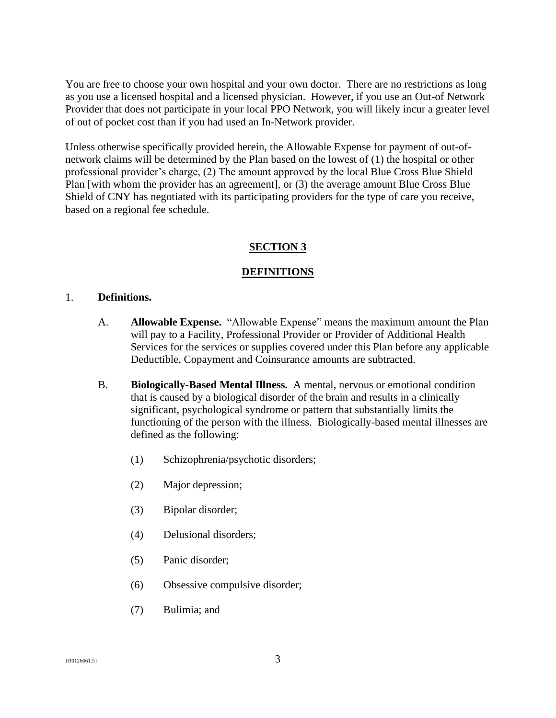You are free to choose your own hospital and your own doctor. There are no restrictions as long as you use a licensed hospital and a licensed physician. However, if you use an Out-of Network Provider that does not participate in your local PPO Network, you will likely incur a greater level of out of pocket cost than if you had used an In-Network provider.

Unless otherwise specifically provided herein, the Allowable Expense for payment of out-ofnetwork claims will be determined by the Plan based on the lowest of (1) the hospital or other professional provider's charge, (2) The amount approved by the local Blue Cross Blue Shield Plan [with whom the provider has an agreement], or (3) the average amount Blue Cross Blue Shield of CNY has negotiated with its participating providers for the type of care you receive, based on a regional fee schedule.

#### <span id="page-4-0"></span>**SECTION 3**

#### **DEFINITIONS**

#### 1. **Definitions.**

- A. **Allowable Expense.** "Allowable Expense" means the maximum amount the Plan will pay to a Facility, Professional Provider or Provider of Additional Health Services for the services or supplies covered under this Plan before any applicable Deductible, Copayment and Coinsurance amounts are subtracted.
- B. **Biologically-Based Mental Illness.** A mental, nervous or emotional condition that is caused by a biological disorder of the brain and results in a clinically significant, psychological syndrome or pattern that substantially limits the functioning of the person with the illness. Biologically-based mental illnesses are defined as the following:
	- (1) Schizophrenia/psychotic disorders;
	- (2) Major depression;
	- (3) Bipolar disorder;
	- (4) Delusional disorders;
	- (5) Panic disorder;
	- (6) Obsessive compulsive disorder;
	- (7) Bulimia; and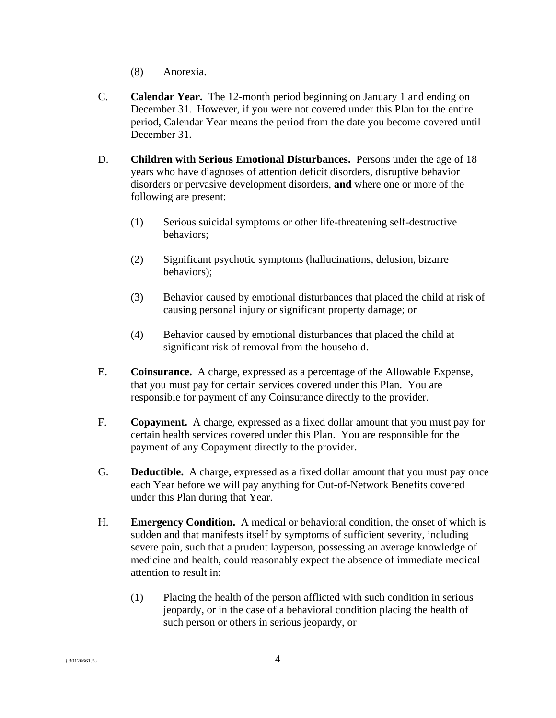- (8) Anorexia.
- C. **Calendar Year.** The 12-month period beginning on January 1 and ending on December 31. However, if you were not covered under this Plan for the entire period, Calendar Year means the period from the date you become covered until December 31.
- D. **Children with Serious Emotional Disturbances.** Persons under the age of 18 years who have diagnoses of attention deficit disorders, disruptive behavior disorders or pervasive development disorders, **and** where one or more of the following are present:
	- (1) Serious suicidal symptoms or other life-threatening self-destructive behaviors;
	- (2) Significant psychotic symptoms (hallucinations, delusion, bizarre behaviors);
	- (3) Behavior caused by emotional disturbances that placed the child at risk of causing personal injury or significant property damage; or
	- (4) Behavior caused by emotional disturbances that placed the child at significant risk of removal from the household.
- E. **Coinsurance.** A charge, expressed as a percentage of the Allowable Expense, that you must pay for certain services covered under this Plan. You are responsible for payment of any Coinsurance directly to the provider.
- F. **Copayment.** A charge, expressed as a fixed dollar amount that you must pay for certain health services covered under this Plan. You are responsible for the payment of any Copayment directly to the provider.
- G. **Deductible.** A charge, expressed as a fixed dollar amount that you must pay once each Year before we will pay anything for Out-of-Network Benefits covered under this Plan during that Year.
- H. **Emergency Condition.** A medical or behavioral condition, the onset of which is sudden and that manifests itself by symptoms of sufficient severity, including severe pain, such that a prudent layperson, possessing an average knowledge of medicine and health, could reasonably expect the absence of immediate medical attention to result in:
	- (1) Placing the health of the person afflicted with such condition in serious jeopardy, or in the case of a behavioral condition placing the health of such person or others in serious jeopardy, or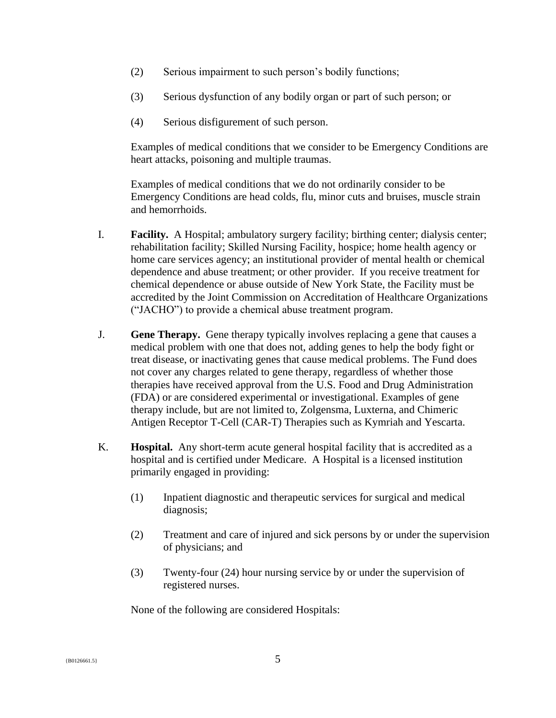- (2) Serious impairment to such person's bodily functions;
- (3) Serious dysfunction of any bodily organ or part of such person; or
- (4) Serious disfigurement of such person.

Examples of medical conditions that we consider to be Emergency Conditions are heart attacks, poisoning and multiple traumas.

Examples of medical conditions that we do not ordinarily consider to be Emergency Conditions are head colds, flu, minor cuts and bruises, muscle strain and hemorrhoids.

- I. **Facility.** A Hospital; ambulatory surgery facility; birthing center; dialysis center; rehabilitation facility; Skilled Nursing Facility, hospice; home health agency or home care services agency; an institutional provider of mental health or chemical dependence and abuse treatment; or other provider. If you receive treatment for chemical dependence or abuse outside of New York State, the Facility must be accredited by the Joint Commission on Accreditation of Healthcare Organizations ("JACHO") to provide a chemical abuse treatment program.
- J. **Gene Therapy.** Gene therapy typically involves replacing a gene that causes a medical problem with one that does not, adding genes to help the body fight or treat disease, or inactivating genes that cause medical problems. The Fund does not cover any charges related to gene therapy, regardless of whether those therapies have received approval from the U.S. Food and Drug Administration (FDA) or are considered experimental or investigational. Examples of gene therapy include, but are not limited to, Zolgensma, Luxterna, and Chimeric Antigen Receptor T-Cell (CAR-T) Therapies such as Kymriah and Yescarta.
- K. **Hospital.** Any short-term acute general hospital facility that is accredited as a hospital and is certified under Medicare. A Hospital is a licensed institution primarily engaged in providing:
	- (1) Inpatient diagnostic and therapeutic services for surgical and medical diagnosis;
	- (2) Treatment and care of injured and sick persons by or under the supervision of physicians; and
	- (3) Twenty-four (24) hour nursing service by or under the supervision of registered nurses.

None of the following are considered Hospitals: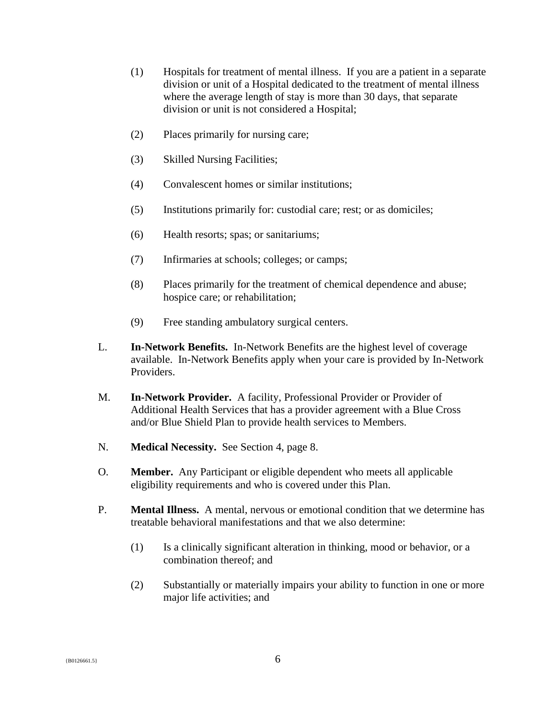- (1) Hospitals for treatment of mental illness. If you are a patient in a separate division or unit of a Hospital dedicated to the treatment of mental illness where the average length of stay is more than 30 days, that separate division or unit is not considered a Hospital;
- (2) Places primarily for nursing care;
- (3) Skilled Nursing Facilities;
- (4) Convalescent homes or similar institutions;
- (5) Institutions primarily for: custodial care; rest; or as domiciles;
- (6) Health resorts; spas; or sanitariums;
- (7) Infirmaries at schools; colleges; or camps;
- (8) Places primarily for the treatment of chemical dependence and abuse; hospice care; or rehabilitation;
- (9) Free standing ambulatory surgical centers.
- L. **In-Network Benefits.** In-Network Benefits are the highest level of coverage available. In-Network Benefits apply when your care is provided by In-Network Providers.
- M. **In-Network Provider.** A facility, Professional Provider or Provider of Additional Health Services that has a provider agreement with a Blue Cross and/or Blue Shield Plan to provide health services to Members.
- N. **Medical Necessity.** See Section 4, page 8.
- O. **Member.** Any Participant or eligible dependent who meets all applicable eligibility requirements and who is covered under this Plan.
- P. **Mental Illness.** A mental, nervous or emotional condition that we determine has treatable behavioral manifestations and that we also determine:
	- (1) Is a clinically significant alteration in thinking, mood or behavior, or a combination thereof; and
	- (2) Substantially or materially impairs your ability to function in one or more major life activities; and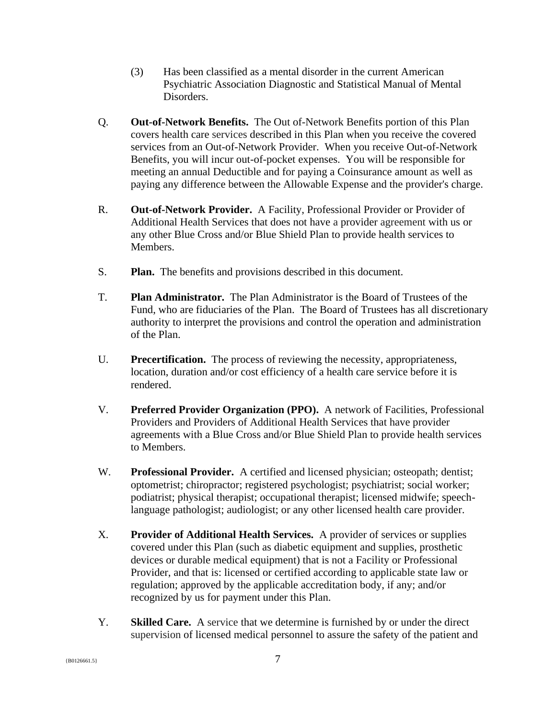- (3) Has been classified as a mental disorder in the current American Psychiatric Association Diagnostic and Statistical Manual of Mental Disorders.
- Q. **Out-of-Network Benefits.** The Out of-Network Benefits portion of this Plan covers health care services described in this Plan when you receive the covered services from an Out-of-Network Provider. When you receive Out-of-Network Benefits, you will incur out-of-pocket expenses. You will be responsible for meeting an annual Deductible and for paying a Coinsurance amount as well as paying any difference between the Allowable Expense and the provider's charge.
- R. **Out-of-Network Provider.** A Facility, Professional Provider or Provider of Additional Health Services that does not have a provider agreement with us or any other Blue Cross and/or Blue Shield Plan to provide health services to Members.
- S. **Plan.** The benefits and provisions described in this document.
- T. **Plan Administrator.** The Plan Administrator is the Board of Trustees of the Fund, who are fiduciaries of the Plan. The Board of Trustees has all discretionary authority to interpret the provisions and control the operation and administration of the Plan.
- U. **Precertification.** The process of reviewing the necessity, appropriateness, location, duration and/or cost efficiency of a health care service before it is rendered.
- V. **Preferred Provider Organization (PPO).** A network of Facilities, Professional Providers and Providers of Additional Health Services that have provider agreements with a Blue Cross and/or Blue Shield Plan to provide health services to Members.
- W. **Professional Provider.** A certified and licensed physician; osteopath; dentist; optometrist; chiropractor; registered psychologist; psychiatrist; social worker; podiatrist; physical therapist; occupational therapist; licensed midwife; speechlanguage pathologist; audiologist; or any other licensed health care provider.
- X. **Provider of Additional Health Services.** A provider of services or supplies covered under this Plan (such as diabetic equipment and supplies, prosthetic devices or durable medical equipment) that is not a Facility or Professional Provider, and that is: licensed or certified according to applicable state law or regulation; approved by the applicable accreditation body, if any; and/or recognized by us for payment under this Plan.
- Y. **Skilled Care.** A service that we determine is furnished by or under the direct supervision of licensed medical personnel to assure the safety of the patient and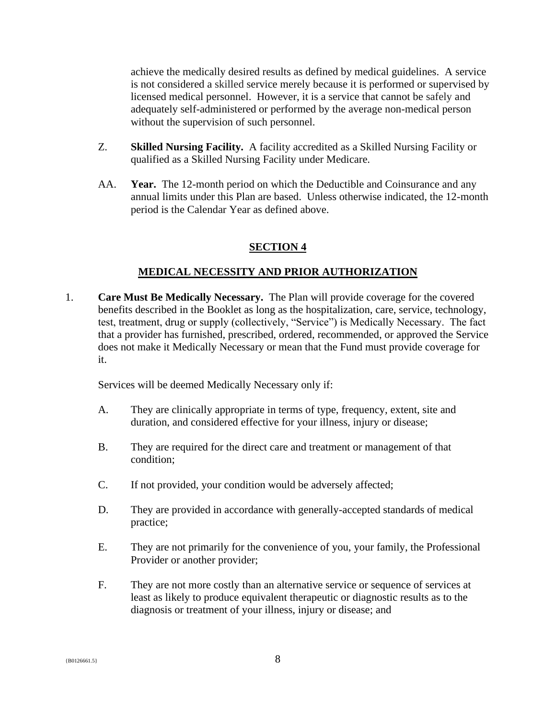achieve the medically desired results as defined by medical guidelines. A service is not considered a skilled service merely because it is performed or supervised by licensed medical personnel. However, it is a service that cannot be safely and adequately self-administered or performed by the average non-medical person without the supervision of such personnel.

- Z. **Skilled Nursing Facility.** A facility accredited as a Skilled Nursing Facility or qualified as a Skilled Nursing Facility under Medicare.
- AA. **Year.** The 12-month period on which the Deductible and Coinsurance and any annual limits under this Plan are based. Unless otherwise indicated, the 12-month period is the Calendar Year as defined above.

#### <span id="page-9-0"></span>**SECTION 4**

#### **MEDICAL NECESSITY AND PRIOR AUTHORIZATION**

1. **Care Must Be Medically Necessary.** The Plan will provide coverage for the covered benefits described in the Booklet as long as the hospitalization, care, service, technology, test, treatment, drug or supply (collectively, "Service") is Medically Necessary. The fact that a provider has furnished, prescribed, ordered, recommended, or approved the Service does not make it Medically Necessary or mean that the Fund must provide coverage for it.

Services will be deemed Medically Necessary only if:

- A. They are clinically appropriate in terms of type, frequency, extent, site and duration, and considered effective for your illness, injury or disease;
- B. They are required for the direct care and treatment or management of that condition;
- C. If not provided, your condition would be adversely affected;
- D. They are provided in accordance with generally-accepted standards of medical practice;
- E. They are not primarily for the convenience of you, your family, the Professional Provider or another provider;
- F. They are not more costly than an alternative service or sequence of services at least as likely to produce equivalent therapeutic or diagnostic results as to the diagnosis or treatment of your illness, injury or disease; and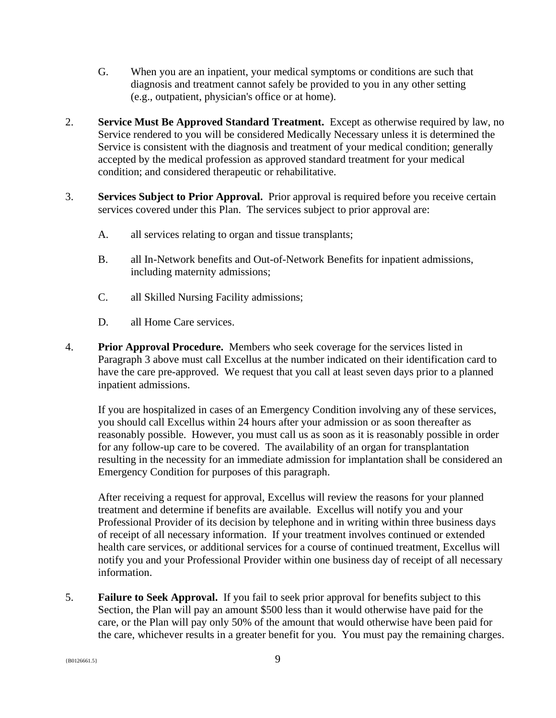- G. When you are an inpatient, your medical symptoms or conditions are such that diagnosis and treatment cannot safely be provided to you in any other setting (e.g., outpatient, physician's office or at home).
- 2. **Service Must Be Approved Standard Treatment.** Except as otherwise required by law, no Service rendered to you will be considered Medically Necessary unless it is determined the Service is consistent with the diagnosis and treatment of your medical condition; generally accepted by the medical profession as approved standard treatment for your medical condition; and considered therapeutic or rehabilitative.
- 3. **Services Subject to Prior Approval.** Prior approval is required before you receive certain services covered under this Plan. The services subject to prior approval are:
	- A. all services relating to organ and tissue transplants;
	- B. all In-Network benefits and Out-of-Network Benefits for inpatient admissions, including maternity admissions;
	- C. all Skilled Nursing Facility admissions;
	- D. all Home Care services.
- 4. **Prior Approval Procedure.** Members who seek coverage for the services listed in Paragraph 3 above must call Excellus at the number indicated on their identification card to have the care pre-approved. We request that you call at least seven days prior to a planned inpatient admissions.

If you are hospitalized in cases of an Emergency Condition involving any of these services, you should call Excellus within 24 hours after your admission or as soon thereafter as reasonably possible. However, you must call us as soon as it is reasonably possible in order for any follow-up care to be covered. The availability of an organ for transplantation resulting in the necessity for an immediate admission for implantation shall be considered an Emergency Condition for purposes of this paragraph.

After receiving a request for approval, Excellus will review the reasons for your planned treatment and determine if benefits are available. Excellus will notify you and your Professional Provider of its decision by telephone and in writing within three business days of receipt of all necessary information. If your treatment involves continued or extended health care services, or additional services for a course of continued treatment, Excellus will notify you and your Professional Provider within one business day of receipt of all necessary information.

5. **Failure to Seek Approval.** If you fail to seek prior approval for benefits subject to this Section, the Plan will pay an amount \$500 less than it would otherwise have paid for the care, or the Plan will pay only 50% of the amount that would otherwise have been paid for the care, whichever results in a greater benefit for you. You must pay the remaining charges.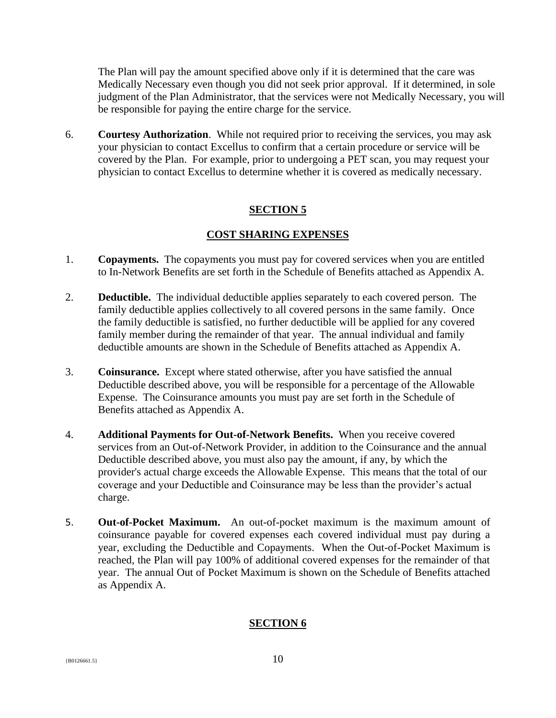The Plan will pay the amount specified above only if it is determined that the care was Medically Necessary even though you did not seek prior approval. If it determined, in sole judgment of the Plan Administrator, that the services were not Medically Necessary, you will be responsible for paying the entire charge for the service.

6. **Courtesy Authorization**. While not required prior to receiving the services, you may ask your physician to contact Excellus to confirm that a certain procedure or service will be covered by the Plan. For example, prior to undergoing a PET scan, you may request your physician to contact Excellus to determine whether it is covered as medically necessary.

## <span id="page-11-0"></span>**SECTION 5**

## **COST SHARING EXPENSES**

- 1. **Copayments.** The copayments you must pay for covered services when you are entitled to In-Network Benefits are set forth in the Schedule of Benefits attached as Appendix A.
- 2. **Deductible.** The individual deductible applies separately to each covered person. The family deductible applies collectively to all covered persons in the same family. Once the family deductible is satisfied, no further deductible will be applied for any covered family member during the remainder of that year. The annual individual and family deductible amounts are shown in the Schedule of Benefits attached as Appendix A.
- 3. **Coinsurance.** Except where stated otherwise, after you have satisfied the annual Deductible described above, you will be responsible for a percentage of the Allowable Expense. The Coinsurance amounts you must pay are set forth in the Schedule of Benefits attached as Appendix A.
- 4. **Additional Payments for Out-of-Network Benefits.** When you receive covered services from an Out-of-Network Provider, in addition to the Coinsurance and the annual Deductible described above, you must also pay the amount, if any, by which the provider's actual charge exceeds the Allowable Expense. This means that the total of our coverage and your Deductible and Coinsurance may be less than the provider's actual charge.
- 5. **Out-of-Pocket Maximum.** An out-of-pocket maximum is the maximum amount of coinsurance payable for covered expenses each covered individual must pay during a year, excluding the Deductible and Copayments. When the Out-of-Pocket Maximum is reached, the Plan will pay 100% of additional covered expenses for the remainder of that year. The annual Out of Pocket Maximum is shown on the Schedule of Benefits attached as Appendix A.

## **SECTION 6**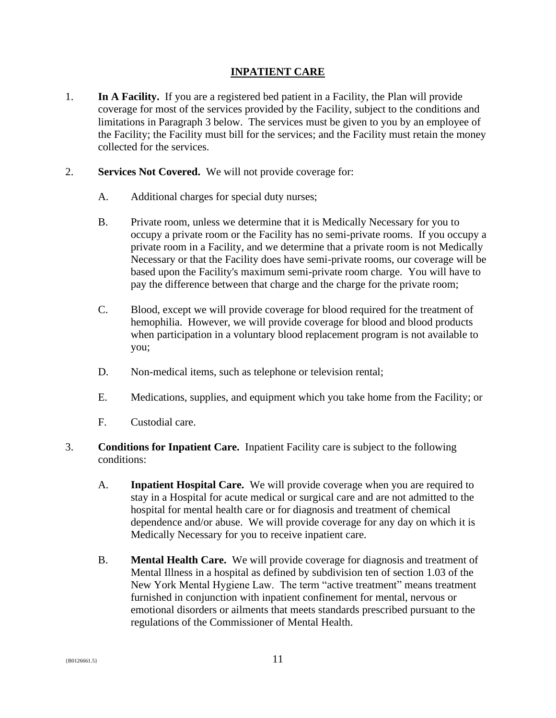#### <span id="page-12-0"></span>**INPATIENT CARE**

- 1. **In A Facility.** If you are a registered bed patient in a Facility, the Plan will provide coverage for most of the services provided by the Facility, subject to the conditions and limitations in Paragraph 3 below. The services must be given to you by an employee of the Facility; the Facility must bill for the services; and the Facility must retain the money collected for the services.
- 2. **Services Not Covered.** We will not provide coverage for:
	- A. Additional charges for special duty nurses;
	- B. Private room, unless we determine that it is Medically Necessary for you to occupy a private room or the Facility has no semi-private rooms. If you occupy a private room in a Facility, and we determine that a private room is not Medically Necessary or that the Facility does have semi-private rooms, our coverage will be based upon the Facility's maximum semi-private room charge. You will have to pay the difference between that charge and the charge for the private room;
	- C. Blood, except we will provide coverage for blood required for the treatment of hemophilia. However, we will provide coverage for blood and blood products when participation in a voluntary blood replacement program is not available to you;
	- D. Non-medical items, such as telephone or television rental;
	- E. Medications, supplies, and equipment which you take home from the Facility; or
	- F. Custodial care.
- 3. **Conditions for Inpatient Care.** Inpatient Facility care is subject to the following conditions:
	- A. **Inpatient Hospital Care.** We will provide coverage when you are required to stay in a Hospital for acute medical or surgical care and are not admitted to the hospital for mental health care or for diagnosis and treatment of chemical dependence and/or abuse. We will provide coverage for any day on which it is Medically Necessary for you to receive inpatient care.
	- B. **Mental Health Care.** We will provide coverage for diagnosis and treatment of Mental Illness in a hospital as defined by subdivision ten of section 1.03 of the New York Mental Hygiene Law. The term "active treatment" means treatment furnished in conjunction with inpatient confinement for mental, nervous or emotional disorders or ailments that meets standards prescribed pursuant to the regulations of the Commissioner of Mental Health.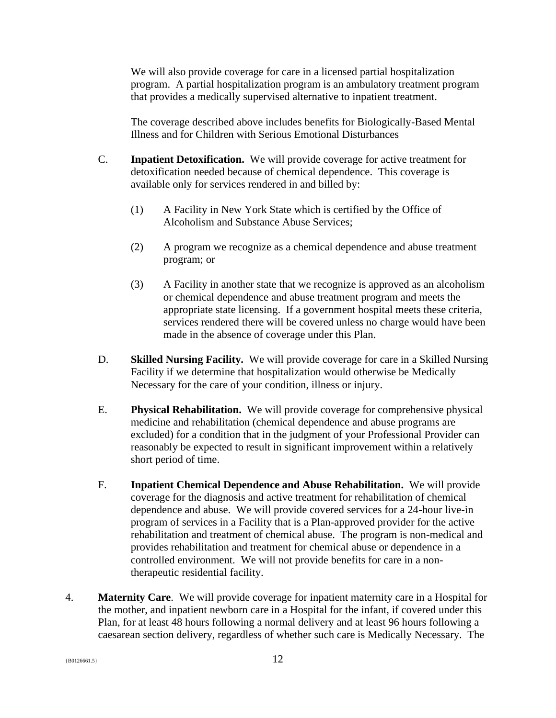We will also provide coverage for care in a licensed partial hospitalization program. A partial hospitalization program is an ambulatory treatment program that provides a medically supervised alternative to inpatient treatment.

The coverage described above includes benefits for Biologically-Based Mental Illness and for Children with Serious Emotional Disturbances

- C. **Inpatient Detoxification.** We will provide coverage for active treatment for detoxification needed because of chemical dependence. This coverage is available only for services rendered in and billed by:
	- (1) A Facility in New York State which is certified by the Office of Alcoholism and Substance Abuse Services;
	- (2) A program we recognize as a chemical dependence and abuse treatment program; or
	- (3) A Facility in another state that we recognize is approved as an alcoholism or chemical dependence and abuse treatment program and meets the appropriate state licensing. If a government hospital meets these criteria, services rendered there will be covered unless no charge would have been made in the absence of coverage under this Plan.
- D. **Skilled Nursing Facility.** We will provide coverage for care in a Skilled Nursing Facility if we determine that hospitalization would otherwise be Medically Necessary for the care of your condition, illness or injury.
- E. **Physical Rehabilitation.** We will provide coverage for comprehensive physical medicine and rehabilitation (chemical dependence and abuse programs are excluded) for a condition that in the judgment of your Professional Provider can reasonably be expected to result in significant improvement within a relatively short period of time.
- F. **Inpatient Chemical Dependence and Abuse Rehabilitation.** We will provide coverage for the diagnosis and active treatment for rehabilitation of chemical dependence and abuse. We will provide covered services for a 24-hour live-in program of services in a Facility that is a Plan-approved provider for the active rehabilitation and treatment of chemical abuse. The program is non-medical and provides rehabilitation and treatment for chemical abuse or dependence in a controlled environment. We will not provide benefits for care in a nontherapeutic residential facility.
- 4. **Maternity Care**. We will provide coverage for inpatient maternity care in a Hospital for the mother, and inpatient newborn care in a Hospital for the infant, if covered under this Plan, for at least 48 hours following a normal delivery and at least 96 hours following a caesarean section delivery, regardless of whether such care is Medically Necessary. The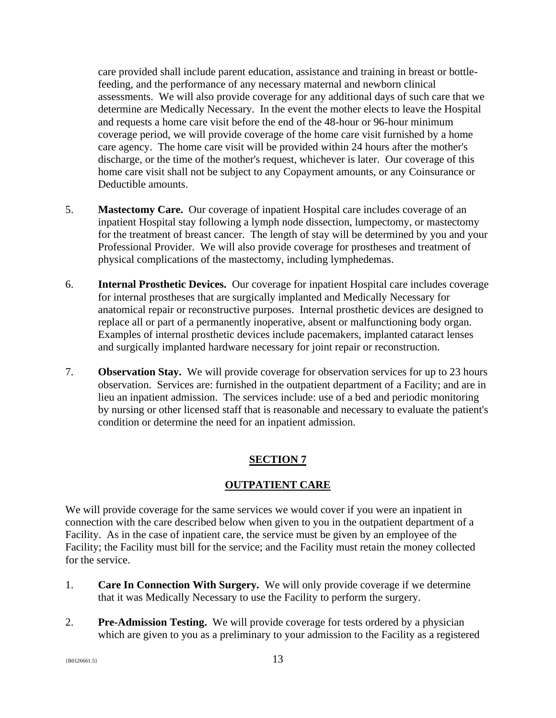care provided shall include parent education, assistance and training in breast or bottlefeeding, and the performance of any necessary maternal and newborn clinical assessments. We will also provide coverage for any additional days of such care that we determine are Medically Necessary. In the event the mother elects to leave the Hospital and requests a home care visit before the end of the 48-hour or 96-hour minimum coverage period, we will provide coverage of the home care visit furnished by a home care agency. The home care visit will be provided within 24 hours after the mother's discharge, or the time of the mother's request, whichever is later. Our coverage of this home care visit shall not be subject to any Copayment amounts, or any Coinsurance or Deductible amounts.

- 5. **Mastectomy Care.** Our coverage of inpatient Hospital care includes coverage of an inpatient Hospital stay following a lymph node dissection, lumpectomy, or mastectomy for the treatment of breast cancer. The length of stay will be determined by you and your Professional Provider. We will also provide coverage for prostheses and treatment of physical complications of the mastectomy, including lymphedemas.
- 6. **Internal Prosthetic Devices.** Our coverage for inpatient Hospital care includes coverage for internal prostheses that are surgically implanted and Medically Necessary for anatomical repair or reconstructive purposes. Internal prosthetic devices are designed to replace all or part of a permanently inoperative, absent or malfunctioning body organ. Examples of internal prosthetic devices include pacemakers, implanted cataract lenses and surgically implanted hardware necessary for joint repair or reconstruction.
- 7. **Observation Stay.** We will provide coverage for observation services for up to 23 hours observation. Services are: furnished in the outpatient department of a Facility; and are in lieu an inpatient admission. The services include: use of a bed and periodic monitoring by nursing or other licensed staff that is reasonable and necessary to evaluate the patient's condition or determine the need for an inpatient admission.

## <span id="page-14-0"></span>**SECTION 7**

## **OUTPATIENT CARE**

We will provide coverage for the same services we would cover if you were an inpatient in connection with the care described below when given to you in the outpatient department of a Facility. As in the case of inpatient care, the service must be given by an employee of the Facility; the Facility must bill for the service; and the Facility must retain the money collected for the service.

- 1. **Care In Connection With Surgery.** We will only provide coverage if we determine that it was Medically Necessary to use the Facility to perform the surgery.
- 2. **Pre-Admission Testing.** We will provide coverage for tests ordered by a physician which are given to you as a preliminary to your admission to the Facility as a registered

 ${13}$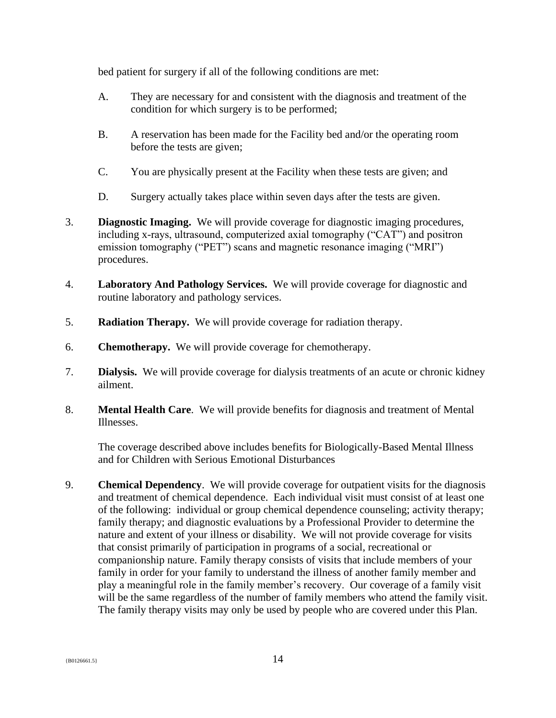bed patient for surgery if all of the following conditions are met:

- A. They are necessary for and consistent with the diagnosis and treatment of the condition for which surgery is to be performed;
- B. A reservation has been made for the Facility bed and/or the operating room before the tests are given;
- C. You are physically present at the Facility when these tests are given; and
- D. Surgery actually takes place within seven days after the tests are given.
- 3. **Diagnostic Imaging.** We will provide coverage for diagnostic imaging procedures, including x-rays, ultrasound, computerized axial tomography ("CAT") and positron emission tomography ("PET") scans and magnetic resonance imaging ("MRI") procedures.
- 4. **Laboratory And Pathology Services.** We will provide coverage for diagnostic and routine laboratory and pathology services.
- 5. **Radiation Therapy.** We will provide coverage for radiation therapy.
- 6. **Chemotherapy.** We will provide coverage for chemotherapy.
- 7. **Dialysis.** We will provide coverage for dialysis treatments of an acute or chronic kidney ailment.
- 8. **Mental Health Care**. We will provide benefits for diagnosis and treatment of Mental Illnesses.

The coverage described above includes benefits for Biologically-Based Mental Illness and for Children with Serious Emotional Disturbances

9. **Chemical Dependency**. We will provide coverage for outpatient visits for the diagnosis and treatment of chemical dependence. Each individual visit must consist of at least one of the following: individual or group chemical dependence counseling; activity therapy; family therapy; and diagnostic evaluations by a Professional Provider to determine the nature and extent of your illness or disability. We will not provide coverage for visits that consist primarily of participation in programs of a social, recreational or companionship nature. Family therapy consists of visits that include members of your family in order for your family to understand the illness of another family member and play a meaningful role in the family member's recovery. Our coverage of a family visit will be the same regardless of the number of family members who attend the family visit. The family therapy visits may only be used by people who are covered under this Plan.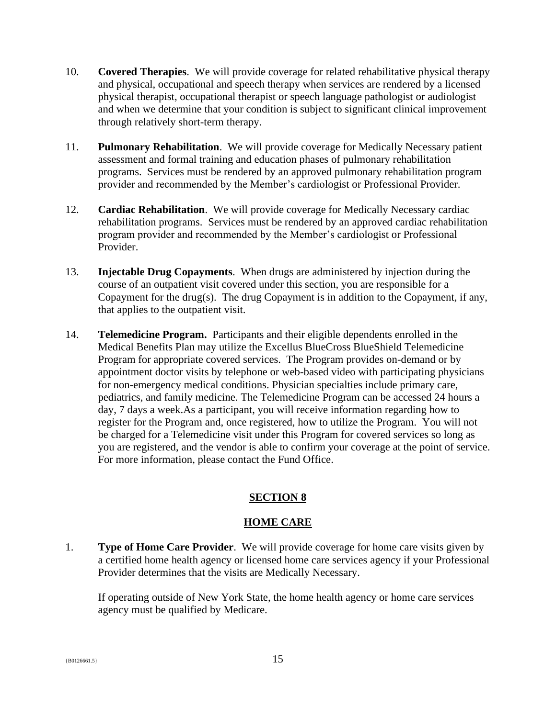- 10. **Covered Therapies**. We will provide coverage for related rehabilitative physical therapy and physical, occupational and speech therapy when services are rendered by a licensed physical therapist, occupational therapist or speech language pathologist or audiologist and when we determine that your condition is subject to significant clinical improvement through relatively short-term therapy.
- 11. **Pulmonary Rehabilitation**. We will provide coverage for Medically Necessary patient assessment and formal training and education phases of pulmonary rehabilitation programs. Services must be rendered by an approved pulmonary rehabilitation program provider and recommended by the Member's cardiologist or Professional Provider.
- 12. **Cardiac Rehabilitation**. We will provide coverage for Medically Necessary cardiac rehabilitation programs. Services must be rendered by an approved cardiac rehabilitation program provider and recommended by the Member's cardiologist or Professional Provider.
- 13. **Injectable Drug Copayments**. When drugs are administered by injection during the course of an outpatient visit covered under this section, you are responsible for a Copayment for the drug(s). The drug Copayment is in addition to the Copayment, if any, that applies to the outpatient visit.
- 14. **Telemedicine Program.** Participants and their eligible dependents enrolled in the Medical Benefits Plan may utilize the Excellus BlueCross BlueShield Telemedicine Program for appropriate covered services. The Program provides on-demand or by appointment doctor visits by telephone or web-based video with participating physicians for non-emergency medical conditions. Physician specialties include primary care, pediatrics, and family medicine. The Telemedicine Program can be accessed 24 hours a day, 7 days a week.As a participant, you will receive information regarding how to register for the Program and, once registered, how to utilize the Program. You will not be charged for a Telemedicine visit under this Program for covered services so long as you are registered, and the vendor is able to confirm your coverage at the point of service. For more information, please contact the Fund Office.

# <span id="page-16-0"></span>**SECTION 8**

## **HOME CARE**

1. **Type of Home Care Provider**. We will provide coverage for home care visits given by a certified home health agency or licensed home care services agency if your Professional Provider determines that the visits are Medically Necessary.

If operating outside of New York State, the home health agency or home care services agency must be qualified by Medicare.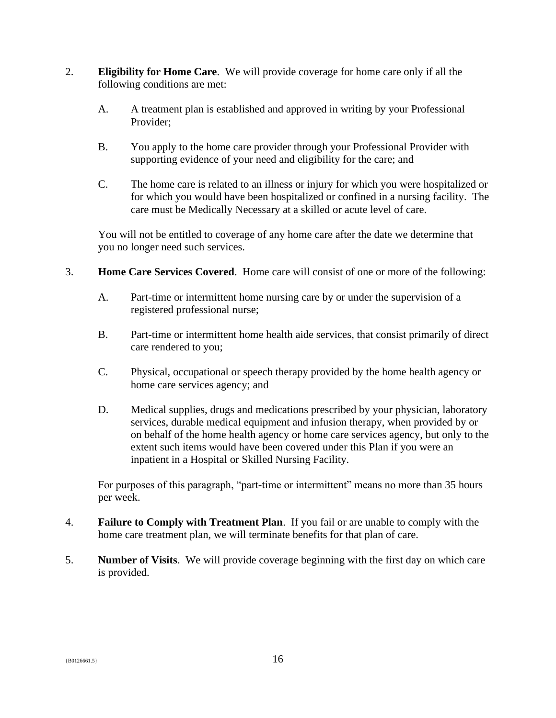- 2. **Eligibility for Home Care**.We will provide coverage for home care only if all the following conditions are met:
	- A. A treatment plan is established and approved in writing by your Professional Provider;
	- B. You apply to the home care provider through your Professional Provider with supporting evidence of your need and eligibility for the care; and
	- C. The home care is related to an illness or injury for which you were hospitalized or for which you would have been hospitalized or confined in a nursing facility. The care must be Medically Necessary at a skilled or acute level of care.

You will not be entitled to coverage of any home care after the date we determine that you no longer need such services.

- 3. **Home Care Services Covered**. Home care will consist of one or more of the following:
	- A. Part-time or intermittent home nursing care by or under the supervision of a registered professional nurse;
	- B. Part-time or intermittent home health aide services, that consist primarily of direct care rendered to you;
	- C. Physical, occupational or speech therapy provided by the home health agency or home care services agency; and
	- D. Medical supplies, drugs and medications prescribed by your physician, laboratory services, durable medical equipment and infusion therapy, when provided by or on behalf of the home health agency or home care services agency, but only to the extent such items would have been covered under this Plan if you were an inpatient in a Hospital or Skilled Nursing Facility.

For purposes of this paragraph, "part-time or intermittent" means no more than 35 hours per week.

- 4. **Failure to Comply with Treatment Plan**. If you fail or are unable to comply with the home care treatment plan, we will terminate benefits for that plan of care.
- 5. **Number of Visits**. We will provide coverage beginning with the first day on which care is provided.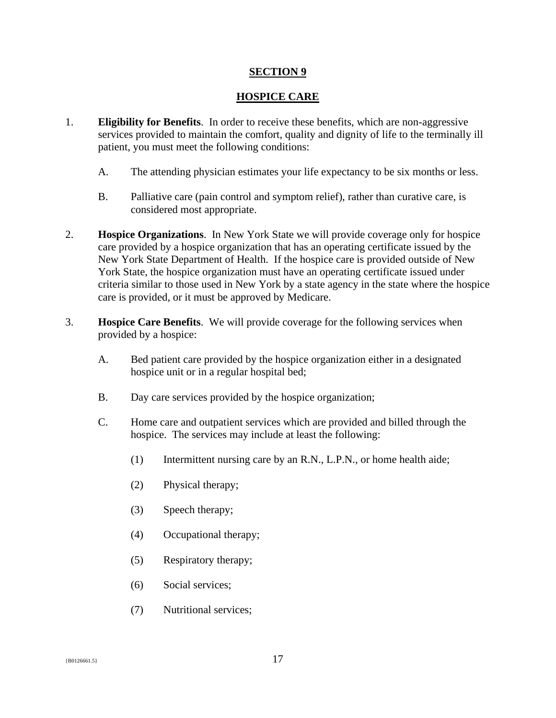#### <span id="page-18-0"></span>**SECTION 9**

#### **HOSPICE CARE**

- 1. **Eligibility for Benefits**. In order to receive these benefits, which are non-aggressive services provided to maintain the comfort, quality and dignity of life to the terminally ill patient, you must meet the following conditions:
	- A. The attending physician estimates your life expectancy to be six months or less.
	- B. Palliative care (pain control and symptom relief), rather than curative care, is considered most appropriate.
- 2. **Hospice Organizations**. In New York State we will provide coverage only for hospice care provided by a hospice organization that has an operating certificate issued by the New York State Department of Health. If the hospice care is provided outside of New York State, the hospice organization must have an operating certificate issued under criteria similar to those used in New York by a state agency in the state where the hospice care is provided, or it must be approved by Medicare.
- 3. **Hospice Care Benefits**. We will provide coverage for the following services when provided by a hospice:
	- A. Bed patient care provided by the hospice organization either in a designated hospice unit or in a regular hospital bed;
	- B. Day care services provided by the hospice organization;
	- C. Home care and outpatient services which are provided and billed through the hospice. The services may include at least the following:
		- (1) Intermittent nursing care by an R.N., L.P.N., or home health aide;
		- (2) Physical therapy;
		- (3) Speech therapy;
		- (4) Occupational therapy;
		- (5) Respiratory therapy;
		- (6) Social services;
		- (7) Nutritional services;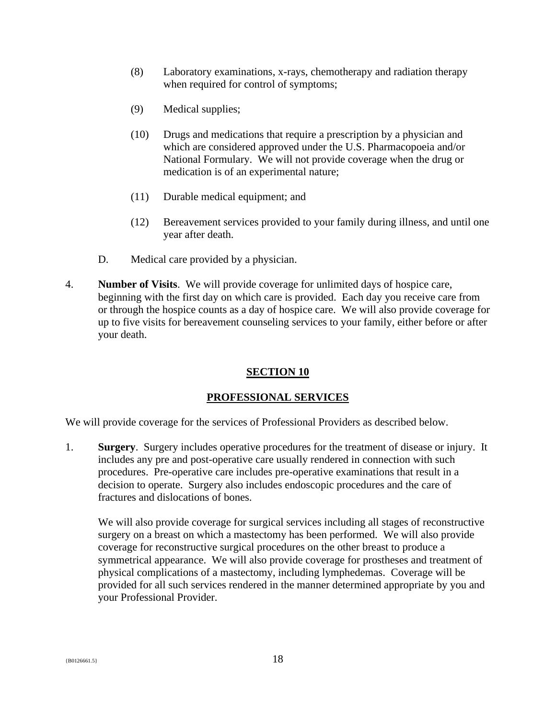- (8) Laboratory examinations, x-rays, chemotherapy and radiation therapy when required for control of symptoms;
- (9) Medical supplies;
- (10) Drugs and medications that require a prescription by a physician and which are considered approved under the U.S. Pharmacopoeia and/or National Formulary. We will not provide coverage when the drug or medication is of an experimental nature;
- (11) Durable medical equipment; and
- (12) Bereavement services provided to your family during illness, and until one year after death.
- D. Medical care provided by a physician.
- 4. **Number of Visits**. We will provide coverage for unlimited days of hospice care, beginning with the first day on which care is provided. Each day you receive care from or through the hospice counts as a day of hospice care. We will also provide coverage for up to five visits for bereavement counseling services to your family, either before or after your death.

#### <span id="page-19-0"></span>**SECTION 10**

## **PROFESSIONAL SERVICES**

We will provide coverage for the services of Professional Providers as described below.

1. **Surgery**. Surgery includes operative procedures for the treatment of disease or injury. It includes any pre and post-operative care usually rendered in connection with such procedures. Pre-operative care includes pre-operative examinations that result in a decision to operate. Surgery also includes endoscopic procedures and the care of fractures and dislocations of bones.

We will also provide coverage for surgical services including all stages of reconstructive surgery on a breast on which a mastectomy has been performed. We will also provide coverage for reconstructive surgical procedures on the other breast to produce a symmetrical appearance. We will also provide coverage for prostheses and treatment of physical complications of a mastectomy, including lymphedemas. Coverage will be provided for all such services rendered in the manner determined appropriate by you and your Professional Provider.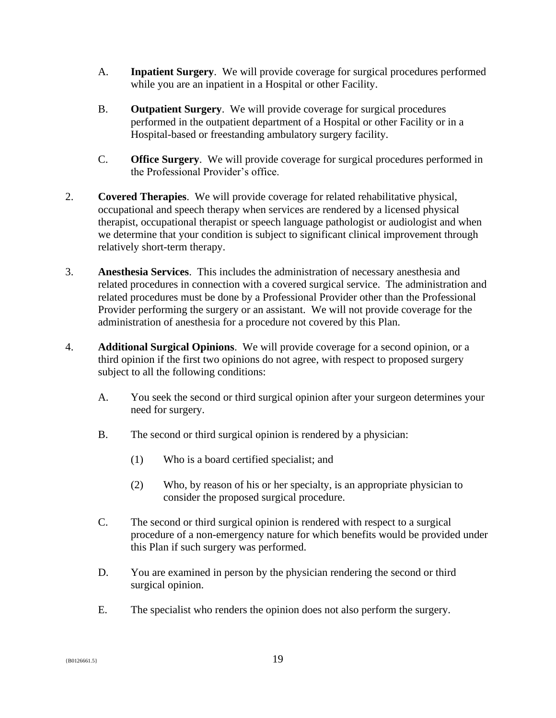- A. **Inpatient Surgery**. We will provide coverage for surgical procedures performed while you are an inpatient in a Hospital or other Facility.
- B. **Outpatient Surgery**. We will provide coverage for surgical procedures performed in the outpatient department of a Hospital or other Facility or in a Hospital-based or freestanding ambulatory surgery facility.
- C. **Office Surgery**. We will provide coverage for surgical procedures performed in the Professional Provider's office.
- 2. **Covered Therapies**. We will provide coverage for related rehabilitative physical, occupational and speech therapy when services are rendered by a licensed physical therapist, occupational therapist or speech language pathologist or audiologist and when we determine that your condition is subject to significant clinical improvement through relatively short-term therapy.
- 3. **Anesthesia Services**. This includes the administration of necessary anesthesia and related procedures in connection with a covered surgical service. The administration and related procedures must be done by a Professional Provider other than the Professional Provider performing the surgery or an assistant. We will not provide coverage for the administration of anesthesia for a procedure not covered by this Plan.
- 4. **Additional Surgical Opinions**. We will provide coverage for a second opinion, or a third opinion if the first two opinions do not agree, with respect to proposed surgery subject to all the following conditions:
	- A. You seek the second or third surgical opinion after your surgeon determines your need for surgery.
	- B. The second or third surgical opinion is rendered by a physician:
		- (1) Who is a board certified specialist; and
		- (2) Who, by reason of his or her specialty, is an appropriate physician to consider the proposed surgical procedure.
	- C. The second or third surgical opinion is rendered with respect to a surgical procedure of a non-emergency nature for which benefits would be provided under this Plan if such surgery was performed.
	- D. You are examined in person by the physician rendering the second or third surgical opinion.
	- E. The specialist who renders the opinion does not also perform the surgery.

 ${19}$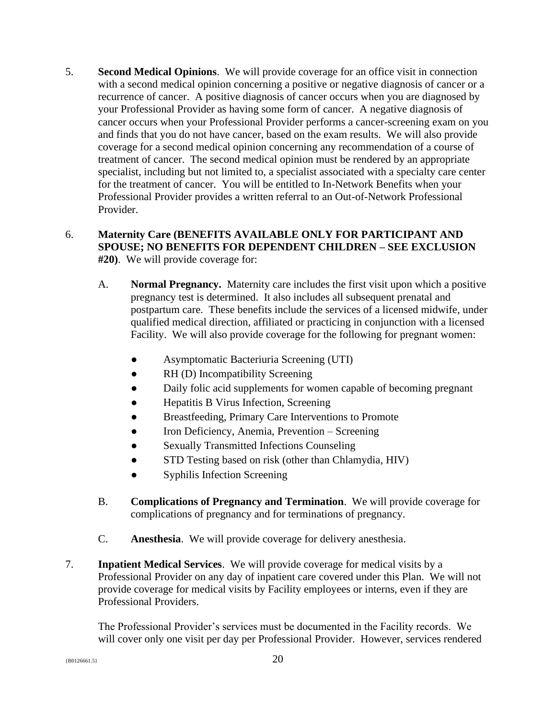5. **Second Medical Opinions**. We will provide coverage for an office visit in connection with a second medical opinion concerning a positive or negative diagnosis of cancer or a recurrence of cancer. A positive diagnosis of cancer occurs when you are diagnosed by your Professional Provider as having some form of cancer. A negative diagnosis of cancer occurs when your Professional Provider performs a cancer-screening exam on you and finds that you do not have cancer, based on the exam results. We will also provide coverage for a second medical opinion concerning any recommendation of a course of treatment of cancer. The second medical opinion must be rendered by an appropriate specialist, including but not limited to, a specialist associated with a specialty care center for the treatment of cancer. You will be entitled to In-Network Benefits when your Professional Provider provides a written referral to an Out-of-Network Professional Provider.

## 6. **Maternity Care (BENEFITS AVAILABLE ONLY FOR PARTICIPANT AND SPOUSE; NO BENEFITS FOR DEPENDENT CHILDREN – SEE EXCLUSION #20)**. We will provide coverage for:

- A. **Normal Pregnancy.** Maternity care includes the first visit upon which a positive pregnancy test is determined. It also includes all subsequent prenatal and postpartum care. These benefits include the services of a licensed midwife, under qualified medical direction, affiliated or practicing in conjunction with a licensed Facility. We will also provide coverage for the following for pregnant women:
	- Asymptomatic Bacteriuria Screening (UTI)
	- RH (D) Incompatibility Screening
	- Daily folic acid supplements for women capable of becoming pregnant
	- Hepatitis B Virus Infection, Screening
	- Breastfeeding, Primary Care Interventions to Promote
	- Iron Deficiency, Anemia, Prevention Screening
	- Sexually Transmitted Infections Counseling
	- STD Testing based on risk (other than Chlamydia, HIV)
	- Syphilis Infection Screening
- B. **Complications of Pregnancy and Termination**. We will provide coverage for complications of pregnancy and for terminations of pregnancy.
- C. **Anesthesia**. We will provide coverage for delivery anesthesia.
- 7. **Inpatient Medical Services**. We will provide coverage for medical visits by a Professional Provider on any day of inpatient care covered under this Plan. We will not provide coverage for medical visits by Facility employees or interns, even if they are Professional Providers.

The Professional Provider's services must be documented in the Facility records. We will cover only one visit per day per Professional Provider. However, services rendered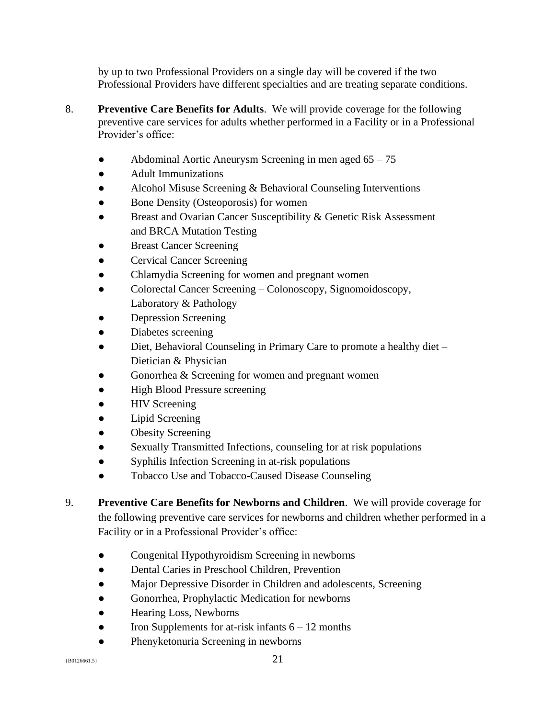by up to two Professional Providers on a single day will be covered if the two Professional Providers have different specialties and are treating separate conditions.

- 8. **Preventive Care Benefits for Adults**. We will provide coverage for the following preventive care services for adults whether performed in a Facility or in a Professional Provider's office:
	- Abdominal Aortic Aneurysm Screening in men aged 65 75
	- **Adult Immunizations**
	- Alcohol Misuse Screening & Behavioral Counseling Interventions
	- Bone Density (Osteoporosis) for women
	- Breast and Ovarian Cancer Susceptibility & Genetic Risk Assessment and BRCA Mutation Testing
	- **Breast Cancer Screening**
	- Cervical Cancer Screening
	- Chlamydia Screening for women and pregnant women
	- Colorectal Cancer Screening Colonoscopy, Signomoidoscopy, Laboratory & Pathology
	- Depression Screening
	- Diabetes screening
	- Diet, Behavioral Counseling in Primary Care to promote a healthy diet Dietician & Physician
	- Gonorrhea  $&$  Screening for women and pregnant women
	- High Blood Pressure screening
	- **HIV Screening**
	- Lipid Screening
	- **Obesity Screening**
	- Sexually Transmitted Infections, counseling for at risk populations
	- Syphilis Infection Screening in at-risk populations
	- Tobacco Use and Tobacco-Caused Disease Counseling
- 9. **Preventive Care Benefits for Newborns and Children**. We will provide coverage for the following preventive care services for newborns and children whether performed in a Facility or in a Professional Provider's office:
	- Congenital Hypothyroidism Screening in newborns
	- Dental Caries in Preschool Children, Prevention
	- Major Depressive Disorder in Children and adolescents, Screening
	- Gonorrhea, Prophylactic Medication for newborns
	- Hearing Loss, Newborns
	- Iron Supplements for at-risk infants  $6 12$  months
	- Phenyketonuria Screening in newborns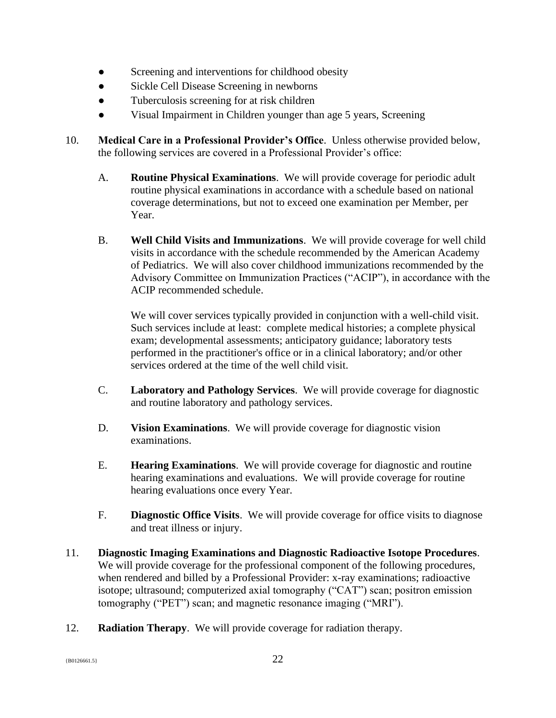- Screening and interventions for childhood obesity
- Sickle Cell Disease Screening in newborns
- Tuberculosis screening for at risk children
- Visual Impairment in Children younger than age 5 years, Screening
- 10. **Medical Care in a Professional Provider's Office**. Unless otherwise provided below, the following services are covered in a Professional Provider's office:
	- A. **Routine Physical Examinations**. We will provide coverage for periodic adult routine physical examinations in accordance with a schedule based on national coverage determinations, but not to exceed one examination per Member, per Year.
	- B. **Well Child Visits and Immunizations**. We will provide coverage for well child visits in accordance with the schedule recommended by the American Academy of Pediatrics. We will also cover childhood immunizations recommended by the Advisory Committee on Immunization Practices ("ACIP"), in accordance with the ACIP recommended schedule.

We will cover services typically provided in conjunction with a well-child visit. Such services include at least: complete medical histories; a complete physical exam; developmental assessments; anticipatory guidance; laboratory tests performed in the practitioner's office or in a clinical laboratory; and/or other services ordered at the time of the well child visit.

- C. **Laboratory and Pathology Services**. We will provide coverage for diagnostic and routine laboratory and pathology services.
- D. **Vision Examinations**. We will provide coverage for diagnostic vision examinations.
- E. **Hearing Examinations**. We will provide coverage for diagnostic and routine hearing examinations and evaluations. We will provide coverage for routine hearing evaluations once every Year.
- F. **Diagnostic Office Visits**. We will provide coverage for office visits to diagnose and treat illness or injury.
- 11. **Diagnostic Imaging Examinations and Diagnostic Radioactive Isotope Procedures**. We will provide coverage for the professional component of the following procedures, when rendered and billed by a Professional Provider: x-ray examinations; radioactive isotope; ultrasound; computerized axial tomography ("CAT") scan; positron emission tomography ("PET") scan; and magnetic resonance imaging ("MRI").
- 12. **Radiation Therapy**. We will provide coverage for radiation therapy.

 ${^{80126661.5}}$  22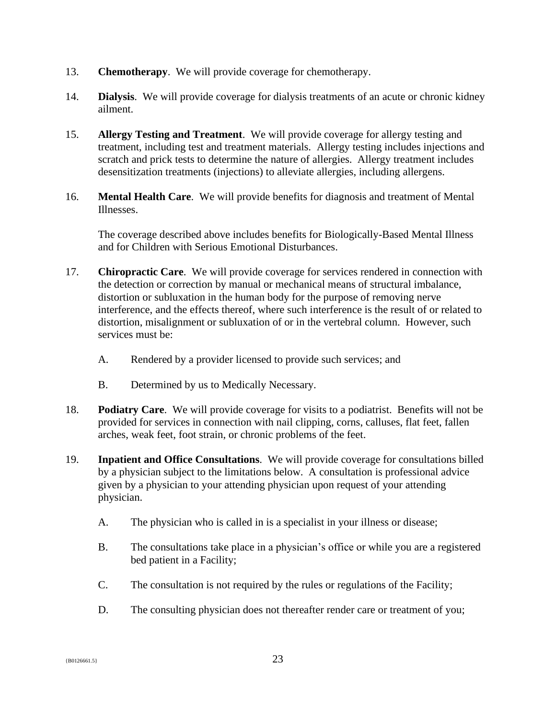- 13. **Chemotherapy**. We will provide coverage for chemotherapy.
- 14. **Dialysis**. We will provide coverage for dialysis treatments of an acute or chronic kidney ailment.
- 15. **Allergy Testing and Treatment**. We will provide coverage for allergy testing and treatment, including test and treatment materials. Allergy testing includes injections and scratch and prick tests to determine the nature of allergies. Allergy treatment includes desensitization treatments (injections) to alleviate allergies, including allergens.
- 16. **Mental Health Care**. We will provide benefits for diagnosis and treatment of Mental Illnesses.

The coverage described above includes benefits for Biologically-Based Mental Illness and for Children with Serious Emotional Disturbances.

- 17. **Chiropractic Care**. We will provide coverage for services rendered in connection with the detection or correction by manual or mechanical means of structural imbalance, distortion or subluxation in the human body for the purpose of removing nerve interference, and the effects thereof, where such interference is the result of or related to distortion, misalignment or subluxation of or in the vertebral column. However, such services must be:
	- A. Rendered by a provider licensed to provide such services; and
	- B. Determined by us to Medically Necessary.
- 18. **Podiatry Care**. We will provide coverage for visits to a podiatrist. Benefits will not be provided for services in connection with nail clipping, corns, calluses, flat feet, fallen arches, weak feet, foot strain, or chronic problems of the feet.
- 19. **Inpatient and Office Consultations**. We will provide coverage for consultations billed by a physician subject to the limitations below. A consultation is professional advice given by a physician to your attending physician upon request of your attending physician.
	- A. The physician who is called in is a specialist in your illness or disease;
	- B. The consultations take place in a physician's office or while you are a registered bed patient in a Facility;
	- C. The consultation is not required by the rules or regulations of the Facility;
	- D. The consulting physician does not thereafter render care or treatment of you;

 ${^{80126661.5}}$  23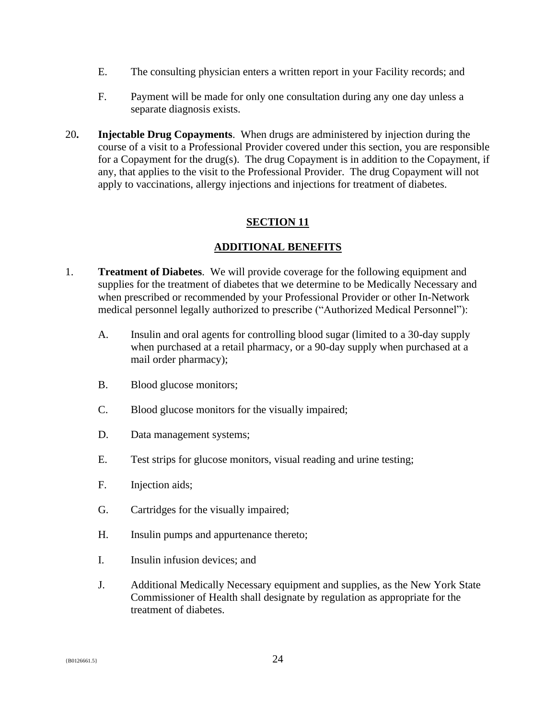- E. The consulting physician enters a written report in your Facility records; and
- F. Payment will be made for only one consultation during any one day unless a separate diagnosis exists.
- 20**. Injectable Drug Copayments**. When drugs are administered by injection during the course of a visit to a Professional Provider covered under this section, you are responsible for a Copayment for the drug(s). The drug Copayment is in addition to the Copayment, if any, that applies to the visit to the Professional Provider. The drug Copayment will not apply to vaccinations, allergy injections and injections for treatment of diabetes.

## <span id="page-25-0"></span>**SECTION 11**

#### **ADDITIONAL BENEFITS**

- 1. **Treatment of Diabetes**. We will provide coverage for the following equipment and supplies for the treatment of diabetes that we determine to be Medically Necessary and when prescribed or recommended by your Professional Provider or other In-Network medical personnel legally authorized to prescribe ("Authorized Medical Personnel"):
	- A. Insulin and oral agents for controlling blood sugar (limited to a 30-day supply when purchased at a retail pharmacy, or a 90-day supply when purchased at a mail order pharmacy);
	- B. Blood glucose monitors;
	- C. Blood glucose monitors for the visually impaired;
	- D. Data management systems;
	- E. Test strips for glucose monitors, visual reading and urine testing;
	- F. Injection aids;
	- G. Cartridges for the visually impaired;
	- H. Insulin pumps and appurtenance thereto;
	- I. Insulin infusion devices; and
	- J. Additional Medically Necessary equipment and supplies, as the New York State Commissioner of Health shall designate by regulation as appropriate for the treatment of diabetes.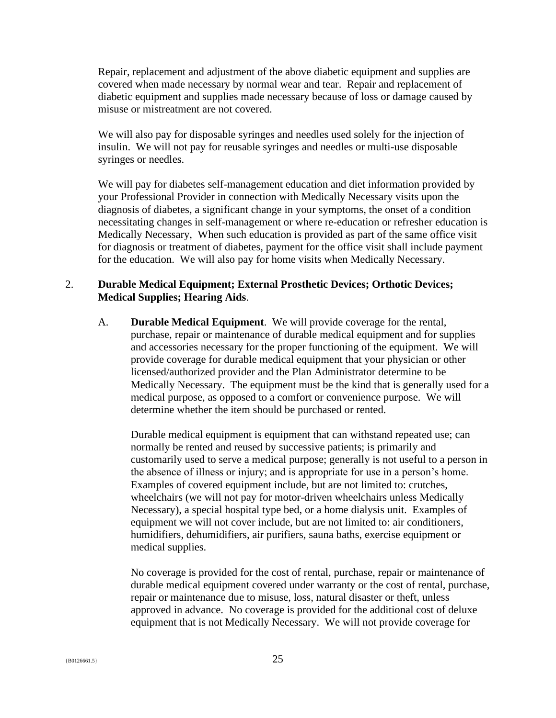Repair, replacement and adjustment of the above diabetic equipment and supplies are covered when made necessary by normal wear and tear. Repair and replacement of diabetic equipment and supplies made necessary because of loss or damage caused by misuse or mistreatment are not covered.

We will also pay for disposable syringes and needles used solely for the injection of insulin. We will not pay for reusable syringes and needles or multi-use disposable syringes or needles.

We will pay for diabetes self-management education and diet information provided by your Professional Provider in connection with Medically Necessary visits upon the diagnosis of diabetes, a significant change in your symptoms, the onset of a condition necessitating changes in self-management or where re-education or refresher education is Medically Necessary, When such education is provided as part of the same office visit for diagnosis or treatment of diabetes, payment for the office visit shall include payment for the education. We will also pay for home visits when Medically Necessary.

#### 2. **Durable Medical Equipment; External Prosthetic Devices; Orthotic Devices; Medical Supplies; Hearing Aids**.

A. **Durable Medical Equipment**. We will provide coverage for the rental, purchase, repair or maintenance of durable medical equipment and for supplies and accessories necessary for the proper functioning of the equipment. We will provide coverage for durable medical equipment that your physician or other licensed/authorized provider and the Plan Administrator determine to be Medically Necessary. The equipment must be the kind that is generally used for a medical purpose, as opposed to a comfort or convenience purpose. We will determine whether the item should be purchased or rented.

Durable medical equipment is equipment that can withstand repeated use; can normally be rented and reused by successive patients; is primarily and customarily used to serve a medical purpose; generally is not useful to a person in the absence of illness or injury; and is appropriate for use in a person's home. Examples of covered equipment include, but are not limited to: crutches, wheelchairs (we will not pay for motor-driven wheelchairs unless Medically Necessary), a special hospital type bed, or a home dialysis unit. Examples of equipment we will not cover include, but are not limited to: air conditioners, humidifiers, dehumidifiers, air purifiers, sauna baths, exercise equipment or medical supplies.

No coverage is provided for the cost of rental, purchase, repair or maintenance of durable medical equipment covered under warranty or the cost of rental, purchase, repair or maintenance due to misuse, loss, natural disaster or theft, unless approved in advance. No coverage is provided for the additional cost of deluxe equipment that is not Medically Necessary. We will not provide coverage for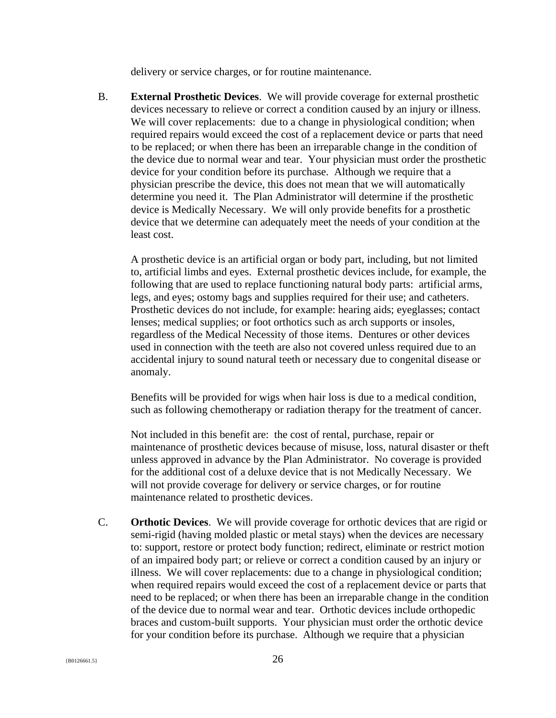delivery or service charges, or for routine maintenance.

B. **External Prosthetic Devices**. We will provide coverage for external prosthetic devices necessary to relieve or correct a condition caused by an injury or illness. We will cover replacements: due to a change in physiological condition; when required repairs would exceed the cost of a replacement device or parts that need to be replaced; or when there has been an irreparable change in the condition of the device due to normal wear and tear. Your physician must order the prosthetic device for your condition before its purchase. Although we require that a physician prescribe the device, this does not mean that we will automatically determine you need it. The Plan Administrator will determine if the prosthetic device is Medically Necessary. We will only provide benefits for a prosthetic device that we determine can adequately meet the needs of your condition at the least cost.

A prosthetic device is an artificial organ or body part, including, but not limited to, artificial limbs and eyes. External prosthetic devices include, for example, the following that are used to replace functioning natural body parts: artificial arms, legs, and eyes; ostomy bags and supplies required for their use; and catheters. Prosthetic devices do not include, for example: hearing aids; eyeglasses; contact lenses; medical supplies; or foot orthotics such as arch supports or insoles, regardless of the Medical Necessity of those items. Dentures or other devices used in connection with the teeth are also not covered unless required due to an accidental injury to sound natural teeth or necessary due to congenital disease or anomaly.

Benefits will be provided for wigs when hair loss is due to a medical condition, such as following chemotherapy or radiation therapy for the treatment of cancer.

Not included in this benefit are: the cost of rental, purchase, repair or maintenance of prosthetic devices because of misuse, loss, natural disaster or theft unless approved in advance by the Plan Administrator. No coverage is provided for the additional cost of a deluxe device that is not Medically Necessary. We will not provide coverage for delivery or service charges, or for routine maintenance related to prosthetic devices.

C. **Orthotic Devices**. We will provide coverage for orthotic devices that are rigid or semi-rigid (having molded plastic or metal stays) when the devices are necessary to: support, restore or protect body function; redirect, eliminate or restrict motion of an impaired body part; or relieve or correct a condition caused by an injury or illness. We will cover replacements: due to a change in physiological condition; when required repairs would exceed the cost of a replacement device or parts that need to be replaced; or when there has been an irreparable change in the condition of the device due to normal wear and tear. Orthotic devices include orthopedic braces and custom-built supports. Your physician must order the orthotic device for your condition before its purchase. Although we require that a physician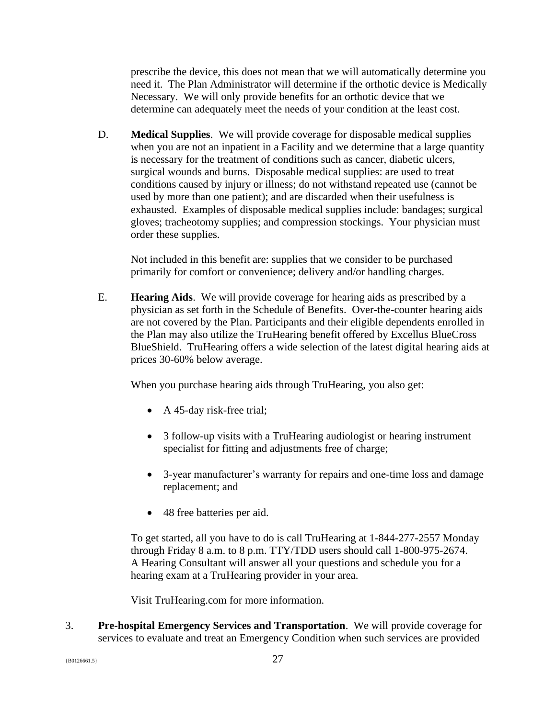prescribe the device, this does not mean that we will automatically determine you need it. The Plan Administrator will determine if the orthotic device is Medically Necessary. We will only provide benefits for an orthotic device that we determine can adequately meet the needs of your condition at the least cost.

D. **Medical Supplies**. We will provide coverage for disposable medical supplies when you are not an inpatient in a Facility and we determine that a large quantity is necessary for the treatment of conditions such as cancer, diabetic ulcers, surgical wounds and burns. Disposable medical supplies: are used to treat conditions caused by injury or illness; do not withstand repeated use (cannot be used by more than one patient); and are discarded when their usefulness is exhausted. Examples of disposable medical supplies include: bandages; surgical gloves; tracheotomy supplies; and compression stockings. Your physician must order these supplies.

Not included in this benefit are: supplies that we consider to be purchased primarily for comfort or convenience; delivery and/or handling charges.

E. **Hearing Aids**. We will provide coverage for hearing aids as prescribed by a physician as set forth in the Schedule of Benefits. Over-the-counter hearing aids are not covered by the Plan. Participants and their eligible dependents enrolled in the Plan may also utilize the TruHearing benefit offered by Excellus BlueCross BlueShield. TruHearing offers a wide selection of the latest digital hearing aids at prices 30-60% below average.

When you purchase hearing aids through TruHearing, you also get:

- A 45-day risk-free trial;
- 3 follow-up visits with a TruHearing audiologist or hearing instrument specialist for fitting and adjustments free of charge;
- 3-year manufacturer's warranty for repairs and one-time loss and damage replacement; and
- 48 free batteries per aid.

To get started, all you have to do is call TruHearing at 1-844-277-2557 Monday through Friday 8 a.m. to 8 p.m. TTY/TDD users should call 1-800-975-2674. A Hearing Consultant will answer all your questions and schedule you for a hearing exam at a TruHearing provider in your area.

Visit TruHearing.com for more information.

3. **Pre-hospital Emergency Services and Transportation**. We will provide coverage for services to evaluate and treat an Emergency Condition when such services are provided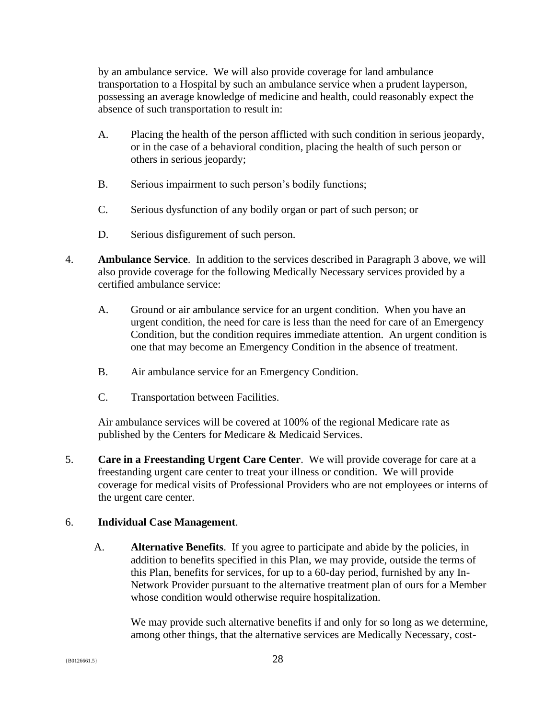by an ambulance service. We will also provide coverage for land ambulance transportation to a Hospital by such an ambulance service when a prudent layperson, possessing an average knowledge of medicine and health, could reasonably expect the absence of such transportation to result in:

- A. Placing the health of the person afflicted with such condition in serious jeopardy, or in the case of a behavioral condition, placing the health of such person or others in serious jeopardy;
- B. Serious impairment to such person's bodily functions;
- C. Serious dysfunction of any bodily organ or part of such person; or
- D. Serious disfigurement of such person.
- 4. **Ambulance Service**. In addition to the services described in Paragraph 3 above, we will also provide coverage for the following Medically Necessary services provided by a certified ambulance service:
	- A. Ground or air ambulance service for an urgent condition. When you have an urgent condition, the need for care is less than the need for care of an Emergency Condition, but the condition requires immediate attention. An urgent condition is one that may become an Emergency Condition in the absence of treatment.
	- B. Air ambulance service for an Emergency Condition.
	- C. Transportation between Facilities.

Air ambulance services will be covered at 100% of the regional Medicare rate as published by the Centers for Medicare & Medicaid Services.

5. **Care in a Freestanding Urgent Care Center**. We will provide coverage for care at a freestanding urgent care center to treat your illness or condition. We will provide coverage for medical visits of Professional Providers who are not employees or interns of the urgent care center.

## 6. **Individual Case Management**.

A. **Alternative Benefits**. If you agree to participate and abide by the policies, in addition to benefits specified in this Plan, we may provide, outside the terms of this Plan, benefits for services, for up to a 60-day period, furnished by any In-Network Provider pursuant to the alternative treatment plan of ours for a Member whose condition would otherwise require hospitalization.

We may provide such alternative benefits if and only for so long as we determine, among other things, that the alternative services are Medically Necessary, cost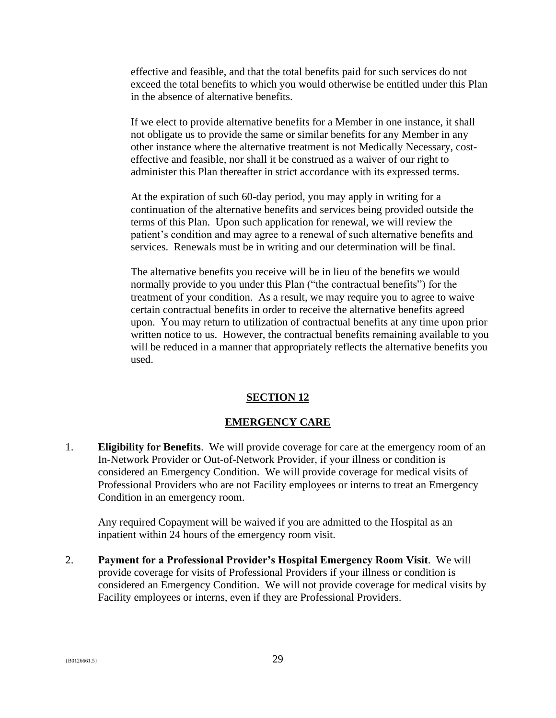effective and feasible, and that the total benefits paid for such services do not exceed the total benefits to which you would otherwise be entitled under this Plan in the absence of alternative benefits.

If we elect to provide alternative benefits for a Member in one instance, it shall not obligate us to provide the same or similar benefits for any Member in any other instance where the alternative treatment is not Medically Necessary, costeffective and feasible, nor shall it be construed as a waiver of our right to administer this Plan thereafter in strict accordance with its expressed terms.

At the expiration of such 60-day period, you may apply in writing for a continuation of the alternative benefits and services being provided outside the terms of this Plan. Upon such application for renewal, we will review the patient's condition and may agree to a renewal of such alternative benefits and services. Renewals must be in writing and our determination will be final.

The alternative benefits you receive will be in lieu of the benefits we would normally provide to you under this Plan ("the contractual benefits") for the treatment of your condition. As a result, we may require you to agree to waive certain contractual benefits in order to receive the alternative benefits agreed upon. You may return to utilization of contractual benefits at any time upon prior written notice to us. However, the contractual benefits remaining available to you will be reduced in a manner that appropriately reflects the alternative benefits you used.

#### <span id="page-30-0"></span>**SECTION 12**

#### **EMERGENCY CARE**

1. **Eligibility for Benefits**. We will provide coverage for care at the emergency room of an In-Network Provider or Out-of-Network Provider, if your illness or condition is considered an Emergency Condition. We will provide coverage for medical visits of Professional Providers who are not Facility employees or interns to treat an Emergency Condition in an emergency room.

Any required Copayment will be waived if you are admitted to the Hospital as an inpatient within 24 hours of the emergency room visit.

2. **Payment for a Professional Provider's Hospital Emergency Room Visit**. We will provide coverage for visits of Professional Providers if your illness or condition is considered an Emergency Condition. We will not provide coverage for medical visits by Facility employees or interns, even if they are Professional Providers.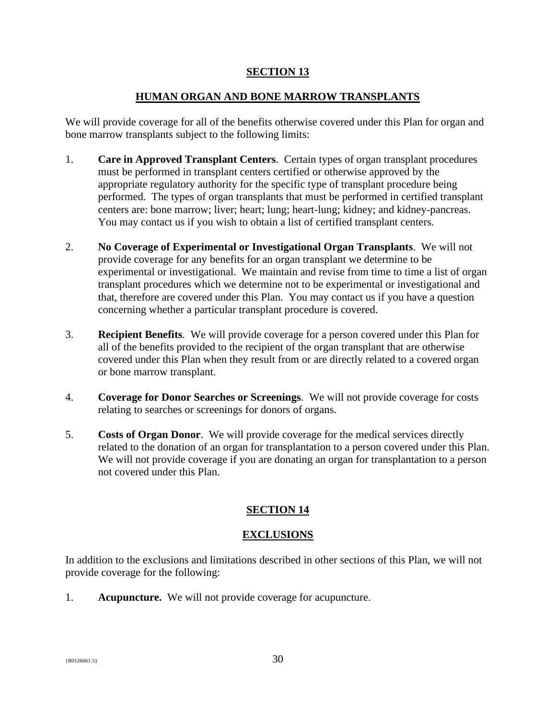## <span id="page-31-0"></span>**SECTION 13**

## **HUMAN ORGAN AND BONE MARROW TRANSPLANTS**

We will provide coverage for all of the benefits otherwise covered under this Plan for organ and bone marrow transplants subject to the following limits:

- 1. **Care in Approved Transplant Centers**. Certain types of organ transplant procedures must be performed in transplant centers certified or otherwise approved by the appropriate regulatory authority for the specific type of transplant procedure being performed. The types of organ transplants that must be performed in certified transplant centers are: bone marrow; liver; heart; lung; heart-lung; kidney; and kidney-pancreas. You may contact us if you wish to obtain a list of certified transplant centers.
- 2. **No Coverage of Experimental or Investigational Organ Transplants**. We will not provide coverage for any benefits for an organ transplant we determine to be experimental or investigational. We maintain and revise from time to time a list of organ transplant procedures which we determine not to be experimental or investigational and that, therefore are covered under this Plan. You may contact us if you have a question concerning whether a particular transplant procedure is covered.
- 3. **Recipient Benefits**. We will provide coverage for a person covered under this Plan for all of the benefits provided to the recipient of the organ transplant that are otherwise covered under this Plan when they result from or are directly related to a covered organ or bone marrow transplant.
- 4. **Coverage for Donor Searches or Screenings**. We will not provide coverage for costs relating to searches or screenings for donors of organs.
- 5. **Costs of Organ Donor**. We will provide coverage for the medical services directly related to the donation of an organ for transplantation to a person covered under this Plan. We will not provide coverage if you are donating an organ for transplantation to a person not covered under this Plan.

# <span id="page-31-1"></span>**SECTION 14**

## **EXCLUSIONS**

In addition to the exclusions and limitations described in other sections of this Plan, we will not provide coverage for the following:

1. **Acupuncture.** We will not provide coverage for acupuncture.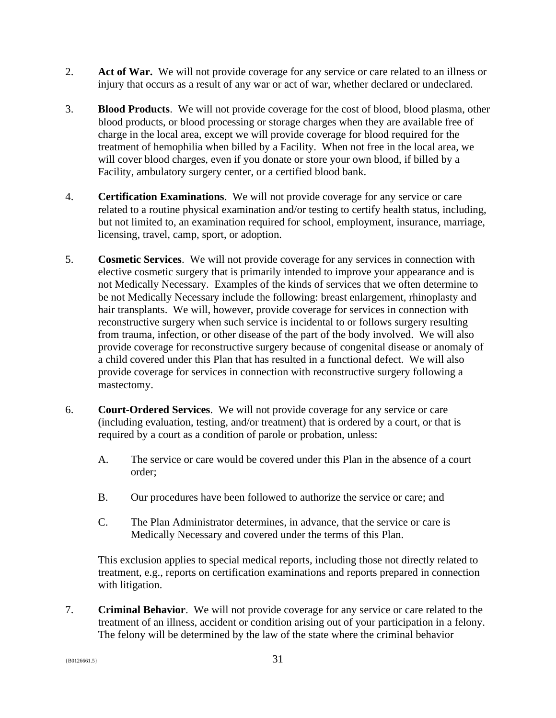- 2. **Act of War.** We will not provide coverage for any service or care related to an illness or injury that occurs as a result of any war or act of war, whether declared or undeclared.
- 3. **Blood Products**. We will not provide coverage for the cost of blood, blood plasma, other blood products, or blood processing or storage charges when they are available free of charge in the local area, except we will provide coverage for blood required for the treatment of hemophilia when billed by a Facility. When not free in the local area, we will cover blood charges, even if you donate or store your own blood, if billed by a Facility, ambulatory surgery center, or a certified blood bank.
- 4. **Certification Examinations**. We will not provide coverage for any service or care related to a routine physical examination and/or testing to certify health status, including, but not limited to, an examination required for school, employment, insurance, marriage, licensing, travel, camp, sport, or adoption.
- 5. **Cosmetic Services**. We will not provide coverage for any services in connection with elective cosmetic surgery that is primarily intended to improve your appearance and is not Medically Necessary. Examples of the kinds of services that we often determine to be not Medically Necessary include the following: breast enlargement, rhinoplasty and hair transplants. We will, however, provide coverage for services in connection with reconstructive surgery when such service is incidental to or follows surgery resulting from trauma, infection, or other disease of the part of the body involved. We will also provide coverage for reconstructive surgery because of congenital disease or anomaly of a child covered under this Plan that has resulted in a functional defect. We will also provide coverage for services in connection with reconstructive surgery following a mastectomy.
- 6. **Court-Ordered Services**. We will not provide coverage for any service or care (including evaluation, testing, and/or treatment) that is ordered by a court, or that is required by a court as a condition of parole or probation, unless:
	- A. The service or care would be covered under this Plan in the absence of a court order;
	- B. Our procedures have been followed to authorize the service or care; and
	- C. The Plan Administrator determines, in advance, that the service or care is Medically Necessary and covered under the terms of this Plan.

This exclusion applies to special medical reports, including those not directly related to treatment, e.g., reports on certification examinations and reports prepared in connection with litigation.

7. **Criminal Behavior**. We will not provide coverage for any service or care related to the treatment of an illness, accident or condition arising out of your participation in a felony. The felony will be determined by the law of the state where the criminal behavior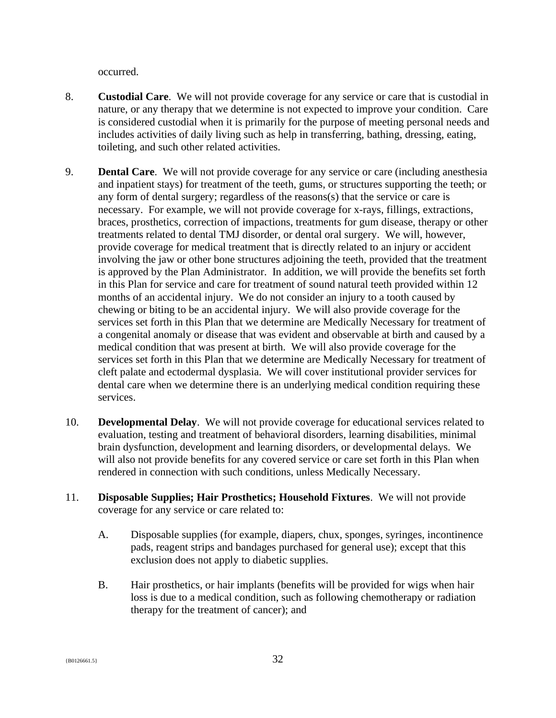occurred.

- 8. **Custodial Care**. We will not provide coverage for any service or care that is custodial in nature, or any therapy that we determine is not expected to improve your condition. Care is considered custodial when it is primarily for the purpose of meeting personal needs and includes activities of daily living such as help in transferring, bathing, dressing, eating, toileting, and such other related activities.
- 9. **Dental Care**. We will not provide coverage for any service or care (including anesthesia and inpatient stays) for treatment of the teeth, gums, or structures supporting the teeth; or any form of dental surgery; regardless of the reasons(s) that the service or care is necessary. For example, we will not provide coverage for x-rays, fillings, extractions, braces, prosthetics, correction of impactions, treatments for gum disease, therapy or other treatments related to dental TMJ disorder, or dental oral surgery. We will, however, provide coverage for medical treatment that is directly related to an injury or accident involving the jaw or other bone structures adjoining the teeth, provided that the treatment is approved by the Plan Administrator. In addition, we will provide the benefits set forth in this Plan for service and care for treatment of sound natural teeth provided within 12 months of an accidental injury. We do not consider an injury to a tooth caused by chewing or biting to be an accidental injury. We will also provide coverage for the services set forth in this Plan that we determine are Medically Necessary for treatment of a congenital anomaly or disease that was evident and observable at birth and caused by a medical condition that was present at birth. We will also provide coverage for the services set forth in this Plan that we determine are Medically Necessary for treatment of cleft palate and ectodermal dysplasia. We will cover institutional provider services for dental care when we determine there is an underlying medical condition requiring these services.
- 10. **Developmental Delay**. We will not provide coverage for educational services related to evaluation, testing and treatment of behavioral disorders, learning disabilities, minimal brain dysfunction, development and learning disorders, or developmental delays. We will also not provide benefits for any covered service or care set forth in this Plan when rendered in connection with such conditions, unless Medically Necessary.
- 11. **Disposable Supplies; Hair Prosthetics; Household Fixtures**. We will not provide coverage for any service or care related to:
	- A. Disposable supplies (for example, diapers, chux, sponges, syringes, incontinence pads, reagent strips and bandages purchased for general use); except that this exclusion does not apply to diabetic supplies.
	- B. Hair prosthetics, or hair implants (benefits will be provided for wigs when hair loss is due to a medical condition, such as following chemotherapy or radiation therapy for the treatment of cancer); and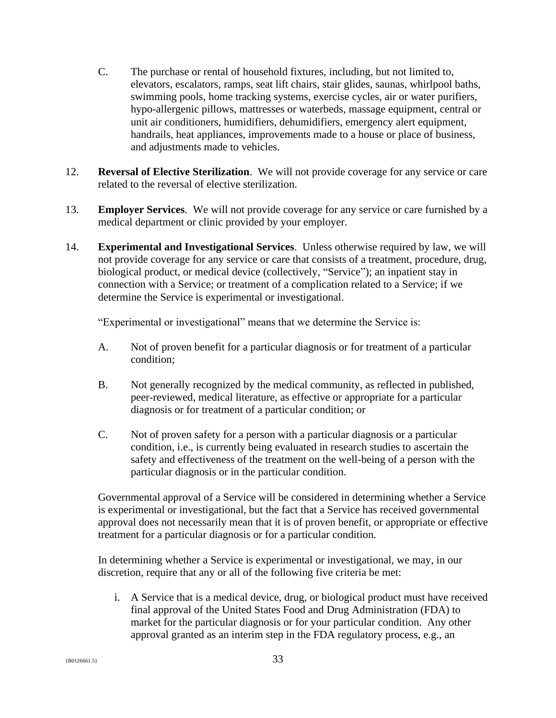- C. The purchase or rental of household fixtures, including, but not limited to, elevators, escalators, ramps, seat lift chairs, stair glides, saunas, whirlpool baths, swimming pools, home tracking systems, exercise cycles, air or water purifiers, hypo-allergenic pillows, mattresses or waterbeds, massage equipment, central or unit air conditioners, humidifiers, dehumidifiers, emergency alert equipment, handrails, heat appliances, improvements made to a house or place of business, and adjustments made to vehicles.
- 12. **Reversal of Elective Sterilization**. We will not provide coverage for any service or care related to the reversal of elective sterilization.
- 13. **Employer Services**.We will not provide coverage for any service or care furnished by a medical department or clinic provided by your employer.
- 14. **Experimental and Investigational Services**. Unless otherwise required by law, we will not provide coverage for any service or care that consists of a treatment, procedure, drug, biological product, or medical device (collectively, "Service"); an inpatient stay in connection with a Service; or treatment of a complication related to a Service; if we determine the Service is experimental or investigational.

"Experimental or investigational" means that we determine the Service is:

- A. Not of proven benefit for a particular diagnosis or for treatment of a particular condition;
- B. Not generally recognized by the medical community, as reflected in published, peer-reviewed, medical literature, as effective or appropriate for a particular diagnosis or for treatment of a particular condition; or
- C. Not of proven safety for a person with a particular diagnosis or a particular condition, i.e., is currently being evaluated in research studies to ascertain the safety and effectiveness of the treatment on the well-being of a person with the particular diagnosis or in the particular condition.

Governmental approval of a Service will be considered in determining whether a Service is experimental or investigational, but the fact that a Service has received governmental approval does not necessarily mean that it is of proven benefit, or appropriate or effective treatment for a particular diagnosis or for a particular condition.

In determining whether a Service is experimental or investigational, we may, in our discretion, require that any or all of the following five criteria be met:

i. A Service that is a medical device, drug, or biological product must have received final approval of the United States Food and Drug Administration (FDA) to market for the particular diagnosis or for your particular condition. Any other approval granted as an interim step in the FDA regulatory process, e.g., an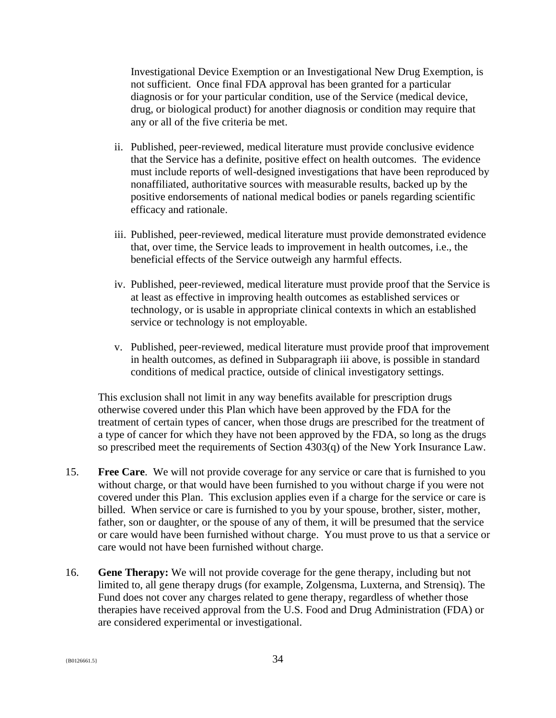Investigational Device Exemption or an Investigational New Drug Exemption, is not sufficient. Once final FDA approval has been granted for a particular diagnosis or for your particular condition, use of the Service (medical device, drug, or biological product) for another diagnosis or condition may require that any or all of the five criteria be met.

- ii. Published, peer-reviewed, medical literature must provide conclusive evidence that the Service has a definite, positive effect on health outcomes. The evidence must include reports of well-designed investigations that have been reproduced by nonaffiliated, authoritative sources with measurable results, backed up by the positive endorsements of national medical bodies or panels regarding scientific efficacy and rationale.
- iii. Published, peer-reviewed, medical literature must provide demonstrated evidence that, over time, the Service leads to improvement in health outcomes, i.e., the beneficial effects of the Service outweigh any harmful effects.
- iv. Published, peer-reviewed, medical literature must provide proof that the Service is at least as effective in improving health outcomes as established services or technology, or is usable in appropriate clinical contexts in which an established service or technology is not employable.
- v. Published, peer-reviewed, medical literature must provide proof that improvement in health outcomes, as defined in Subparagraph iii above, is possible in standard conditions of medical practice, outside of clinical investigatory settings.

This exclusion shall not limit in any way benefits available for prescription drugs otherwise covered under this Plan which have been approved by the FDA for the treatment of certain types of cancer, when those drugs are prescribed for the treatment of a type of cancer for which they have not been approved by the FDA, so long as the drugs so prescribed meet the requirements of Section 4303(q) of the New York Insurance Law.

- 15. **Free Care**. We will not provide coverage for any service or care that is furnished to you without charge, or that would have been furnished to you without charge if you were not covered under this Plan. This exclusion applies even if a charge for the service or care is billed. When service or care is furnished to you by your spouse, brother, sister, mother, father, son or daughter, or the spouse of any of them, it will be presumed that the service or care would have been furnished without charge. You must prove to us that a service or care would not have been furnished without charge.
- 16. **Gene Therapy:** We will not provide coverage for the gene therapy, including but not limited to, all gene therapy drugs (for example, Zolgensma, Luxterna, and Strensiq). The Fund does not cover any charges related to gene therapy, regardless of whether those therapies have received approval from the U.S. Food and Drug Administration (FDA) or are considered experimental or investigational.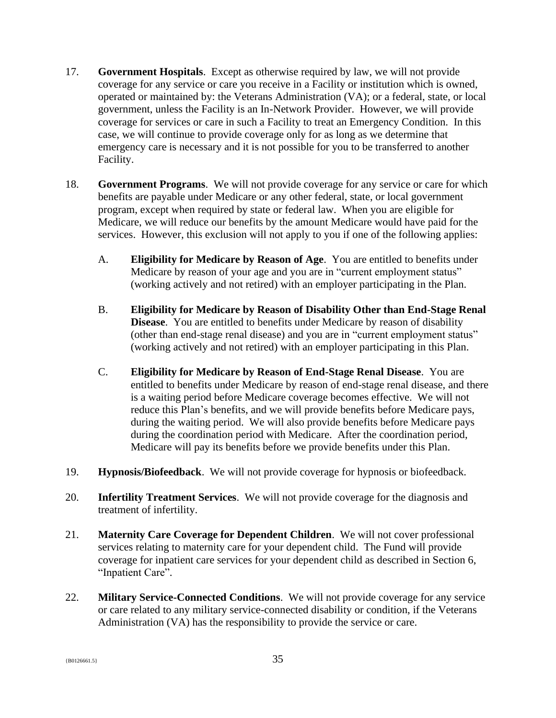- 17. **Government Hospitals**. Except as otherwise required by law, we will not provide coverage for any service or care you receive in a Facility or institution which is owned, operated or maintained by: the Veterans Administration (VA); or a federal, state, or local government, unless the Facility is an In-Network Provider. However, we will provide coverage for services or care in such a Facility to treat an Emergency Condition. In this case, we will continue to provide coverage only for as long as we determine that emergency care is necessary and it is not possible for you to be transferred to another Facility.
- 18. **Government Programs**. We will not provide coverage for any service or care for which benefits are payable under Medicare or any other federal, state, or local government program, except when required by state or federal law. When you are eligible for Medicare, we will reduce our benefits by the amount Medicare would have paid for the services. However, this exclusion will not apply to you if one of the following applies:
	- A. **Eligibility for Medicare by Reason of Age**. You are entitled to benefits under Medicare by reason of your age and you are in "current employment status" (working actively and not retired) with an employer participating in the Plan.
	- B. **Eligibility for Medicare by Reason of Disability Other than End-Stage Renal Disease.** You are entitled to benefits under Medicare by reason of disability (other than end-stage renal disease) and you are in "current employment status" (working actively and not retired) with an employer participating in this Plan.
	- C. **Eligibility for Medicare by Reason of End-Stage Renal Disease**. You are entitled to benefits under Medicare by reason of end-stage renal disease, and there is a waiting period before Medicare coverage becomes effective. We will not reduce this Plan's benefits, and we will provide benefits before Medicare pays, during the waiting period. We will also provide benefits before Medicare pays during the coordination period with Medicare. After the coordination period, Medicare will pay its benefits before we provide benefits under this Plan.
- 19. **Hypnosis/Biofeedback**. We will not provide coverage for hypnosis or biofeedback.
- 20. **Infertility Treatment Services**. We will not provide coverage for the diagnosis and treatment of infertility.
- 21. **Maternity Care Coverage for Dependent Children**. We will not cover professional services relating to maternity care for your dependent child. The Fund will provide coverage for inpatient care services for your dependent child as described in Section 6, "Inpatient Care".
- 22. **Military Service-Connected Conditions**. We will not provide coverage for any service or care related to any military service-connected disability or condition, if the Veterans Administration (VA) has the responsibility to provide the service or care.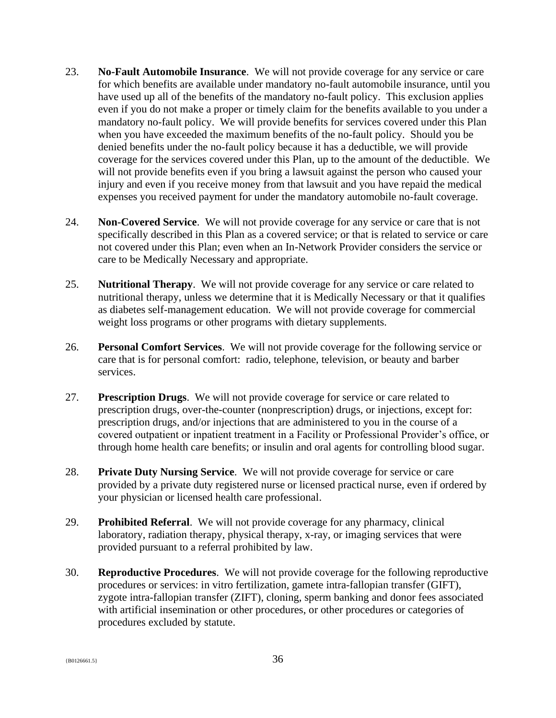- 23. **No-Fault Automobile Insurance**. We will not provide coverage for any service or care for which benefits are available under mandatory no-fault automobile insurance, until you have used up all of the benefits of the mandatory no-fault policy. This exclusion applies even if you do not make a proper or timely claim for the benefits available to you under a mandatory no-fault policy. We will provide benefits for services covered under this Plan when you have exceeded the maximum benefits of the no-fault policy. Should you be denied benefits under the no-fault policy because it has a deductible, we will provide coverage for the services covered under this Plan, up to the amount of the deductible. We will not provide benefits even if you bring a lawsuit against the person who caused your injury and even if you receive money from that lawsuit and you have repaid the medical expenses you received payment for under the mandatory automobile no-fault coverage.
- 24. **Non-Covered Service**. We will not provide coverage for any service or care that is not specifically described in this Plan as a covered service; or that is related to service or care not covered under this Plan; even when an In-Network Provider considers the service or care to be Medically Necessary and appropriate.
- 25. **Nutritional Therapy**. We will not provide coverage for any service or care related to nutritional therapy, unless we determine that it is Medically Necessary or that it qualifies as diabetes self-management education. We will not provide coverage for commercial weight loss programs or other programs with dietary supplements.
- 26. **Personal Comfort Services**. We will not provide coverage for the following service or care that is for personal comfort: radio, telephone, television, or beauty and barber services.
- 27. **Prescription Drugs**. We will not provide coverage for service or care related to prescription drugs, over-the-counter (nonprescription) drugs, or injections, except for: prescription drugs, and/or injections that are administered to you in the course of a covered outpatient or inpatient treatment in a Facility or Professional Provider's office, or through home health care benefits; or insulin and oral agents for controlling blood sugar.
- 28. **Private Duty Nursing Service**. We will not provide coverage for service or care provided by a private duty registered nurse or licensed practical nurse, even if ordered by your physician or licensed health care professional.
- 29. **Prohibited Referral**. We will not provide coverage for any pharmacy, clinical laboratory, radiation therapy, physical therapy, x-ray, or imaging services that were provided pursuant to a referral prohibited by law.
- 30. **Reproductive Procedures**. We will not provide coverage for the following reproductive procedures or services: in vitro fertilization, gamete intra-fallopian transfer (GIFT), zygote intra-fallopian transfer (ZIFT), cloning, sperm banking and donor fees associated with artificial insemination or other procedures, or other procedures or categories of procedures excluded by statute.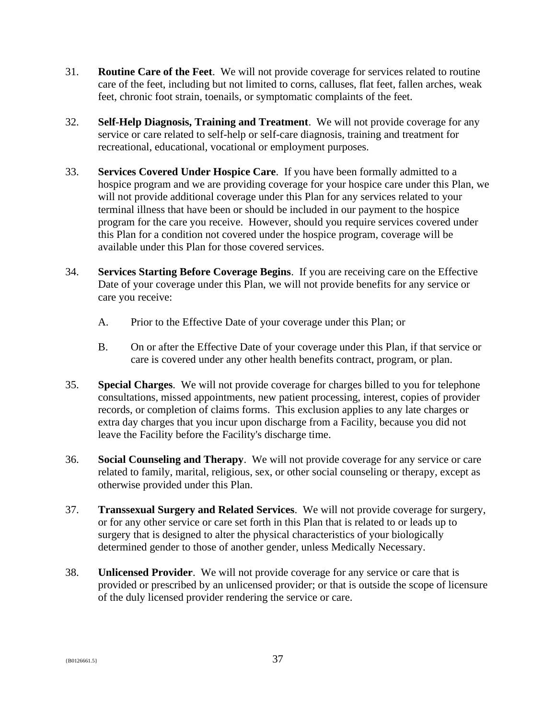- 31. **Routine Care of the Feet**. We will not provide coverage for services related to routine care of the feet, including but not limited to corns, calluses, flat feet, fallen arches, weak feet, chronic foot strain, toenails, or symptomatic complaints of the feet.
- 32. **Self-Help Diagnosis, Training and Treatment**. We will not provide coverage for any service or care related to self-help or self-care diagnosis, training and treatment for recreational, educational, vocational or employment purposes.
- 33. **Services Covered Under Hospice Care**. If you have been formally admitted to a hospice program and we are providing coverage for your hospice care under this Plan, we will not provide additional coverage under this Plan for any services related to your terminal illness that have been or should be included in our payment to the hospice program for the care you receive. However, should you require services covered under this Plan for a condition not covered under the hospice program, coverage will be available under this Plan for those covered services.
- 34. **Services Starting Before Coverage Begins**. If you are receiving care on the Effective Date of your coverage under this Plan, we will not provide benefits for any service or care you receive:
	- A. Prior to the Effective Date of your coverage under this Plan; or
	- B. On or after the Effective Date of your coverage under this Plan, if that service or care is covered under any other health benefits contract, program, or plan.
- 35. **Special Charges**. We will not provide coverage for charges billed to you for telephone consultations, missed appointments, new patient processing, interest, copies of provider records, or completion of claims forms. This exclusion applies to any late charges or extra day charges that you incur upon discharge from a Facility, because you did not leave the Facility before the Facility's discharge time.
- 36. **Social Counseling and Therapy**. We will not provide coverage for any service or care related to family, marital, religious, sex, or other social counseling or therapy, except as otherwise provided under this Plan.
- 37. **Transsexual Surgery and Related Services**. We will not provide coverage for surgery, or for any other service or care set forth in this Plan that is related to or leads up to surgery that is designed to alter the physical characteristics of your biologically determined gender to those of another gender, unless Medically Necessary.
- 38. **Unlicensed Provider**. We will not provide coverage for any service or care that is provided or prescribed by an unlicensed provider; or that is outside the scope of licensure of the duly licensed provider rendering the service or care.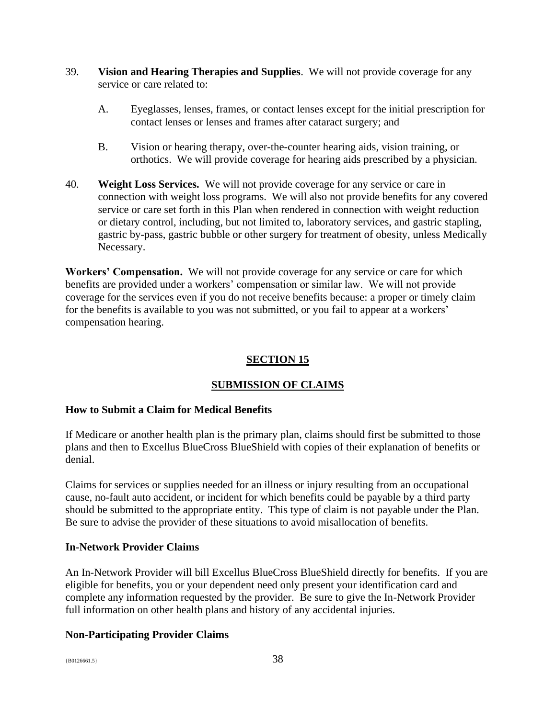- 39. **Vision and Hearing Therapies and Supplies**. We will not provide coverage for any service or care related to:
	- A. Eyeglasses, lenses, frames, or contact lenses except for the initial prescription for contact lenses or lenses and frames after cataract surgery; and
	- B. Vision or hearing therapy, over-the-counter hearing aids, vision training, or orthotics. We will provide coverage for hearing aids prescribed by a physician.
- 40. **Weight Loss Services.** We will not provide coverage for any service or care in connection with weight loss programs. We will also not provide benefits for any covered service or care set forth in this Plan when rendered in connection with weight reduction or dietary control, including, but not limited to, laboratory services, and gastric stapling, gastric by-pass, gastric bubble or other surgery for treatment of obesity, unless Medically Necessary.

**Workers' Compensation.** We will not provide coverage for any service or care for which benefits are provided under a workers' compensation or similar law. We will not provide coverage for the services even if you do not receive benefits because: a proper or timely claim for the benefits is available to you was not submitted, or you fail to appear at a workers' compensation hearing.

# <span id="page-39-0"></span>**SECTION 15**

# **SUBMISSION OF CLAIMS**

## **How to Submit a Claim for Medical Benefits**

If Medicare or another health plan is the primary plan, claims should first be submitted to those plans and then to Excellus BlueCross BlueShield with copies of their explanation of benefits or denial.

Claims for services or supplies needed for an illness or injury resulting from an occupational cause, no-fault auto accident, or incident for which benefits could be payable by a third party should be submitted to the appropriate entity. This type of claim is not payable under the Plan. Be sure to advise the provider of these situations to avoid misallocation of benefits.

#### **In-Network Provider Claims**

An In-Network Provider will bill Excellus BlueCross BlueShield directly for benefits. If you are eligible for benefits, you or your dependent need only present your identification card and complete any information requested by the provider. Be sure to give the In-Network Provider full information on other health plans and history of any accidental injuries.

## **Non-Participating Provider Claims**